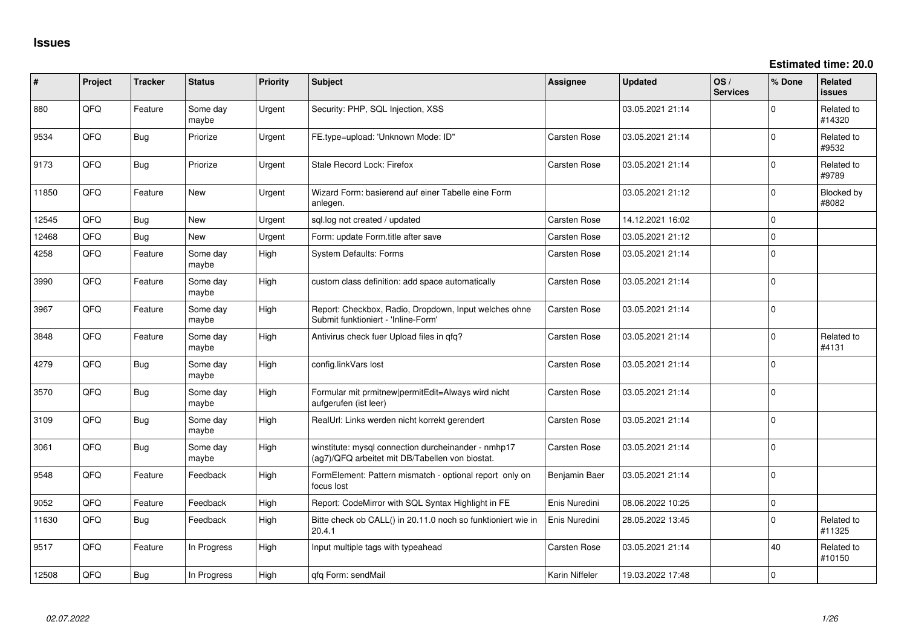**Estimated time: 20.0**

| ∦     | Project | <b>Tracker</b> | <b>Status</b>     | <b>Priority</b> | Subject                                                                                                | <b>Assignee</b> | <b>Updated</b>   | OS/<br><b>Services</b> | % Done      | Related<br>issues    |
|-------|---------|----------------|-------------------|-----------------|--------------------------------------------------------------------------------------------------------|-----------------|------------------|------------------------|-------------|----------------------|
| 880   | QFQ     | Feature        | Some day<br>maybe | Urgent          | Security: PHP, SQL Injection, XSS                                                                      |                 | 03.05.2021 21:14 |                        | $\Omega$    | Related to<br>#14320 |
| 9534  | QFQ     | Bug            | Priorize          | Urgent          | FE.type=upload: 'Unknown Mode: ID"                                                                     | Carsten Rose    | 03.05.2021 21:14 |                        | $\Omega$    | Related to<br>#9532  |
| 9173  | QFQ     | Bug            | Priorize          | Urgent          | Stale Record Lock: Firefox                                                                             | Carsten Rose    | 03.05.2021 21:14 |                        | $\mathbf 0$ | Related to<br>#9789  |
| 11850 | QFQ     | Feature        | New               | Urgent          | Wizard Form: basierend auf einer Tabelle eine Form<br>anlegen.                                         |                 | 03.05.2021 21:12 |                        | 0           | Blocked by<br>#8082  |
| 12545 | QFQ     | Bug            | <b>New</b>        | Urgent          | sql.log not created / updated                                                                          | Carsten Rose    | 14.12.2021 16:02 |                        | $\mathbf 0$ |                      |
| 12468 | QFQ     | Bug            | New               | Urgent          | Form: update Form.title after save                                                                     | Carsten Rose    | 03.05.2021 21:12 |                        | $\Omega$    |                      |
| 4258  | QFQ     | Feature        | Some day<br>maybe | High            | System Defaults: Forms                                                                                 | Carsten Rose    | 03.05.2021 21:14 |                        | $\mathbf 0$ |                      |
| 3990  | QFQ     | Feature        | Some day<br>maybe | High            | custom class definition: add space automatically                                                       | Carsten Rose    | 03.05.2021 21:14 |                        | 0           |                      |
| 3967  | QFQ     | Feature        | Some day<br>maybe | High            | Report: Checkbox, Radio, Dropdown, Input welches ohne<br>Submit funktioniert - 'Inline-Form'           | Carsten Rose    | 03.05.2021 21:14 |                        | 0           |                      |
| 3848  | QFQ     | Feature        | Some day<br>maybe | High            | Antivirus check fuer Upload files in qfq?                                                              | Carsten Rose    | 03.05.2021 21:14 |                        | $\mathbf 0$ | Related to<br>#4131  |
| 4279  | QFQ     | <b>Bug</b>     | Some day<br>maybe | High            | config.linkVars lost                                                                                   | Carsten Rose    | 03.05.2021 21:14 |                        | $\Omega$    |                      |
| 3570  | QFQ     | Bug            | Some day<br>maybe | High            | Formular mit prmitnew permitEdit=Always wird nicht<br>aufgerufen (ist leer)                            | Carsten Rose    | 03.05.2021 21:14 |                        | $\Omega$    |                      |
| 3109  | QFQ     | Bug            | Some day<br>maybe | High            | RealUrl: Links werden nicht korrekt gerendert                                                          | Carsten Rose    | 03.05.2021 21:14 |                        | $\Omega$    |                      |
| 3061  | QFQ     | Bug            | Some day<br>maybe | High            | winstitute: mysql connection durcheinander - nmhp17<br>(ag7)/QFQ arbeitet mit DB/Tabellen von biostat. | Carsten Rose    | 03.05.2021 21:14 |                        | $\Omega$    |                      |
| 9548  | QFQ     | Feature        | Feedback          | High            | FormElement: Pattern mismatch - optional report only on<br>focus lost                                  | Benjamin Baer   | 03.05.2021 21:14 |                        | $\Omega$    |                      |
| 9052  | QFQ     | Feature        | Feedback          | High            | Report: CodeMirror with SQL Syntax Highlight in FE                                                     | Enis Nuredini   | 08.06.2022 10:25 |                        | $\mathbf 0$ |                      |
| 11630 | QFQ     | Bug            | Feedback          | High            | Bitte check ob CALL() in 20.11.0 noch so funktioniert wie in<br>20.4.1                                 | Enis Nuredini   | 28.05.2022 13:45 |                        | $\Omega$    | Related to<br>#11325 |
| 9517  | QFQ     | Feature        | In Progress       | High            | Input multiple tags with typeahead                                                                     | Carsten Rose    | 03.05.2021 21:14 |                        | 40          | Related to<br>#10150 |
| 12508 | QFQ     | Bug            | In Progress       | High            | qfq Form: sendMail                                                                                     | Karin Niffeler  | 19.03.2022 17:48 |                        | $\Omega$    |                      |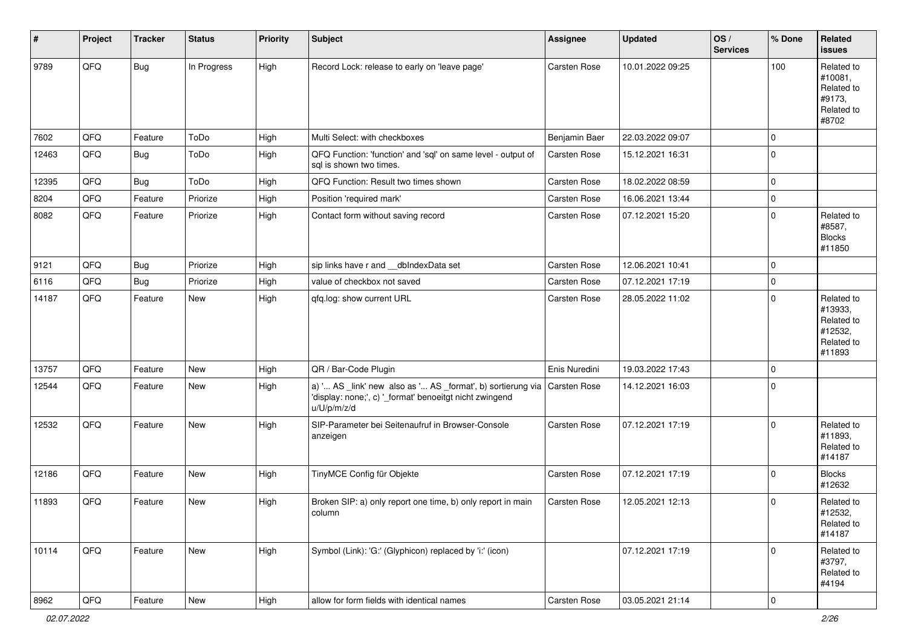| #     | Project | <b>Tracker</b> | <b>Status</b> | <b>Priority</b> | Subject                                                                                                                               | Assignee            | <b>Updated</b>   | OS/<br><b>Services</b> | % Done      | Related<br><b>issues</b>                                               |
|-------|---------|----------------|---------------|-----------------|---------------------------------------------------------------------------------------------------------------------------------------|---------------------|------------------|------------------------|-------------|------------------------------------------------------------------------|
| 9789  | QFQ     | <b>Bug</b>     | In Progress   | High            | Record Lock: release to early on 'leave page'                                                                                         | Carsten Rose        | 10.01.2022 09:25 |                        | 100         | Related to<br>#10081,<br>Related to<br>#9173,<br>Related to<br>#8702   |
| 7602  | QFQ     | Feature        | ToDo          | High            | Multi Select: with checkboxes                                                                                                         | Benjamin Baer       | 22.03.2022 09:07 |                        | $\mathbf 0$ |                                                                        |
| 12463 | QFQ     | Bug            | ToDo          | High            | QFQ Function: 'function' and 'sql' on same level - output of<br>sql is shown two times.                                               | Carsten Rose        | 15.12.2021 16:31 |                        | $\pmb{0}$   |                                                                        |
| 12395 | QFQ     | Bug            | ToDo          | High            | QFQ Function: Result two times shown                                                                                                  | Carsten Rose        | 18.02.2022 08:59 |                        | $\mathbf 0$ |                                                                        |
| 8204  | QFQ     | Feature        | Priorize      | High            | Position 'required mark'                                                                                                              | Carsten Rose        | 16.06.2021 13:44 |                        | $\pmb{0}$   |                                                                        |
| 8082  | QFQ     | Feature        | Priorize      | High            | Contact form without saving record                                                                                                    | Carsten Rose        | 07.12.2021 15:20 |                        | $\mathbf 0$ | Related to<br>#8587,<br><b>Blocks</b><br>#11850                        |
| 9121  | QFQ     | Bug            | Priorize      | High            | sip links have r and __dbIndexData set                                                                                                | Carsten Rose        | 12.06.2021 10:41 |                        | $\mathbf 0$ |                                                                        |
| 6116  | QFQ     | Bug            | Priorize      | High            | value of checkbox not saved                                                                                                           | Carsten Rose        | 07.12.2021 17:19 |                        | $\pmb{0}$   |                                                                        |
| 14187 | QFQ     | Feature        | <b>New</b>    | High            | qfq.log: show current URL                                                                                                             | Carsten Rose        | 28.05.2022 11:02 |                        | $\mathbf 0$ | Related to<br>#13933,<br>Related to<br>#12532,<br>Related to<br>#11893 |
| 13757 | QFQ     | Feature        | New           | High            | QR / Bar-Code Plugin                                                                                                                  | Enis Nuredini       | 19.03.2022 17:43 |                        | $\mathbf 0$ |                                                                        |
| 12544 | QFQ     | Feature        | New           | High            | a) ' AS _link' new also as ' AS _format', b) sortierung via<br>'display: none;', c) '_format' benoeitgt nicht zwingend<br>u/U/p/m/z/d | <b>Carsten Rose</b> | 14.12.2021 16:03 |                        | $\pmb{0}$   |                                                                        |
| 12532 | QFQ     | Feature        | <b>New</b>    | High            | SIP-Parameter bei Seitenaufruf in Browser-Console<br>anzeigen                                                                         | Carsten Rose        | 07.12.2021 17:19 |                        | $\mathbf 0$ | Related to<br>#11893,<br>Related to<br>#14187                          |
| 12186 | QFQ     | Feature        | New           | High            | TinyMCE Config für Objekte                                                                                                            | Carsten Rose        | 07.12.2021 17:19 |                        | $\mathbf 0$ | <b>Blocks</b><br>#12632                                                |
| 11893 | QFQ     | Feature        | New           | High            | Broken SIP: a) only report one time, b) only report in main<br>column                                                                 | Carsten Rose        | 12.05.2021 12:13 |                        | $\mathbf 0$ | Related to<br>#12532,<br>Related to<br>#14187                          |
| 10114 | QFQ     | Feature        | New           | High            | Symbol (Link): 'G:' (Glyphicon) replaced by 'i:' (icon)                                                                               |                     | 07.12.2021 17:19 |                        | $\mathbf 0$ | Related to<br>#3797,<br>Related to<br>#4194                            |
| 8962  | QFQ     | Feature        | New           | High            | allow for form fields with identical names                                                                                            | Carsten Rose        | 03.05.2021 21:14 |                        | 0           |                                                                        |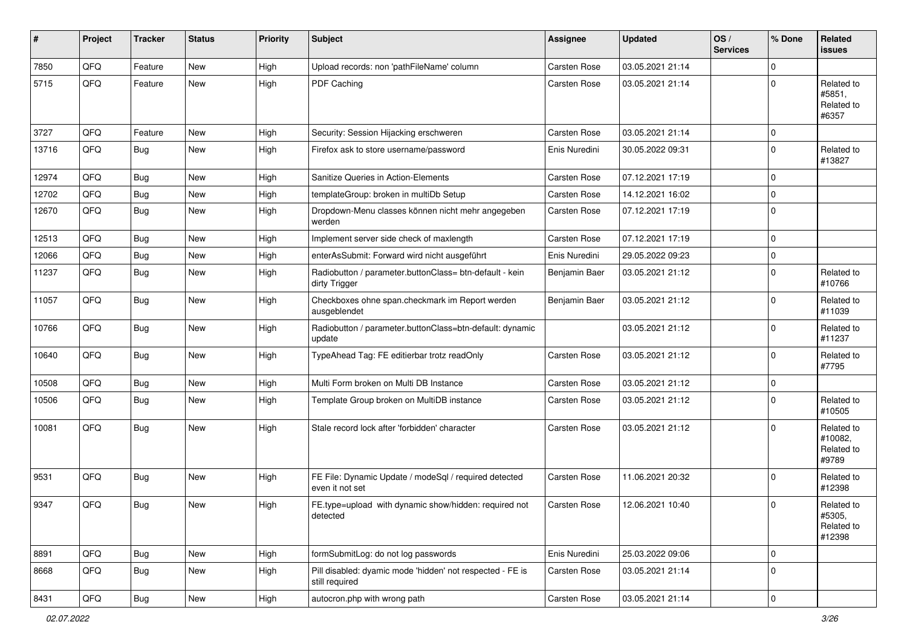| #     | Project | <b>Tracker</b> | <b>Status</b> | <b>Priority</b> | <b>Subject</b>                                                              | <b>Assignee</b>     | <b>Updated</b>   | OS/<br><b>Services</b> | % Done         | Related<br><b>issues</b>                     |
|-------|---------|----------------|---------------|-----------------|-----------------------------------------------------------------------------|---------------------|------------------|------------------------|----------------|----------------------------------------------|
| 7850  | QFQ     | Feature        | <b>New</b>    | High            | Upload records: non 'pathFileName' column                                   | Carsten Rose        | 03.05.2021 21:14 |                        | $\mathbf 0$    |                                              |
| 5715  | QFQ     | Feature        | New           | High            | PDF Caching                                                                 | Carsten Rose        | 03.05.2021 21:14 |                        | $\mathbf 0$    | Related to<br>#5851,<br>Related to<br>#6357  |
| 3727  | QFQ     | Feature        | New           | High            | Security: Session Hijacking erschweren                                      | Carsten Rose        | 03.05.2021 21:14 |                        | 0              |                                              |
| 13716 | QFQ     | Bug            | New           | High            | Firefox ask to store username/password                                      | Enis Nuredini       | 30.05.2022 09:31 |                        | $\mathbf 0$    | Related to<br>#13827                         |
| 12974 | QFQ     | Bug            | New           | High            | Sanitize Queries in Action-Elements                                         | Carsten Rose        | 07.12.2021 17:19 |                        | $\mathbf 0$    |                                              |
| 12702 | QFQ     | Bug            | New           | High            | templateGroup: broken in multiDb Setup                                      | Carsten Rose        | 14.12.2021 16:02 |                        | $\pmb{0}$      |                                              |
| 12670 | QFQ     | Bug            | New           | High            | Dropdown-Menu classes können nicht mehr angegeben<br>werden                 | Carsten Rose        | 07.12.2021 17:19 |                        | $\mathbf 0$    |                                              |
| 12513 | QFQ     | Bug            | New           | High            | Implement server side check of maxlength                                    | <b>Carsten Rose</b> | 07.12.2021 17:19 |                        | $\mathbf 0$    |                                              |
| 12066 | QFQ     | <b>Bug</b>     | New           | High            | enterAsSubmit: Forward wird nicht ausgeführt                                | Enis Nuredini       | 29.05.2022 09:23 |                        | $\pmb{0}$      |                                              |
| 11237 | QFQ     | <b>Bug</b>     | <b>New</b>    | High            | Radiobutton / parameter.buttonClass= btn-default - kein<br>dirty Trigger    | Benjamin Baer       | 03.05.2021 21:12 |                        | $\mathbf 0$    | Related to<br>#10766                         |
| 11057 | QFQ     | Bug            | <b>New</b>    | High            | Checkboxes ohne span.checkmark im Report werden<br>ausgeblendet             | Benjamin Baer       | 03.05.2021 21:12 |                        | $\mathbf 0$    | Related to<br>#11039                         |
| 10766 | QFQ     | Bug            | <b>New</b>    | High            | Radiobutton / parameter.buttonClass=btn-default: dynamic<br>update          |                     | 03.05.2021 21:12 |                        | $\mathbf 0$    | Related to<br>#11237                         |
| 10640 | QFQ     | Bug            | <b>New</b>    | High            | TypeAhead Tag: FE editierbar trotz readOnly                                 | Carsten Rose        | 03.05.2021 21:12 |                        | $\mathbf 0$    | Related to<br>#7795                          |
| 10508 | QFQ     | <b>Bug</b>     | New           | High            | Multi Form broken on Multi DB Instance                                      | Carsten Rose        | 03.05.2021 21:12 |                        | 0              |                                              |
| 10506 | QFQ     | Bug            | <b>New</b>    | High            | Template Group broken on MultiDB instance                                   | Carsten Rose        | 03.05.2021 21:12 |                        | $\mathbf 0$    | Related to<br>#10505                         |
| 10081 | QFQ     | <b>Bug</b>     | <b>New</b>    | High            | Stale record lock after 'forbidden' character                               | <b>Carsten Rose</b> | 03.05.2021 21:12 |                        | $\Omega$       | Related to<br>#10082.<br>Related to<br>#9789 |
| 9531  | QFQ     | <b>Bug</b>     | <b>New</b>    | High            | FE File: Dynamic Update / modeSql / required detected<br>even it not set    | Carsten Rose        | 11.06.2021 20:32 |                        | $\mathbf 0$    | Related to<br>#12398                         |
| 9347  | QFQ     | <b>Bug</b>     | New           | High            | FE.type=upload with dynamic show/hidden: required not<br>detected           | Carsten Rose        | 12.06.2021 10:40 |                        | $\mathbf 0$    | Related to<br>#5305,<br>Related to<br>#12398 |
| 8891  | QFQ     | Bug            | New           | High            | formSubmitLog: do not log passwords                                         | Enis Nuredini       | 25.03.2022 09:06 |                        | $\mathbf 0$    |                                              |
| 8668  | QFQ     | Bug            | New           | High            | Pill disabled: dyamic mode 'hidden' not respected - FE is<br>still required | Carsten Rose        | 03.05.2021 21:14 |                        | $\mathbf 0$    |                                              |
| 8431  | QFQ     | <b>Bug</b>     | New           | High            | autocron.php with wrong path                                                | Carsten Rose        | 03.05.2021 21:14 |                        | $\overline{0}$ |                                              |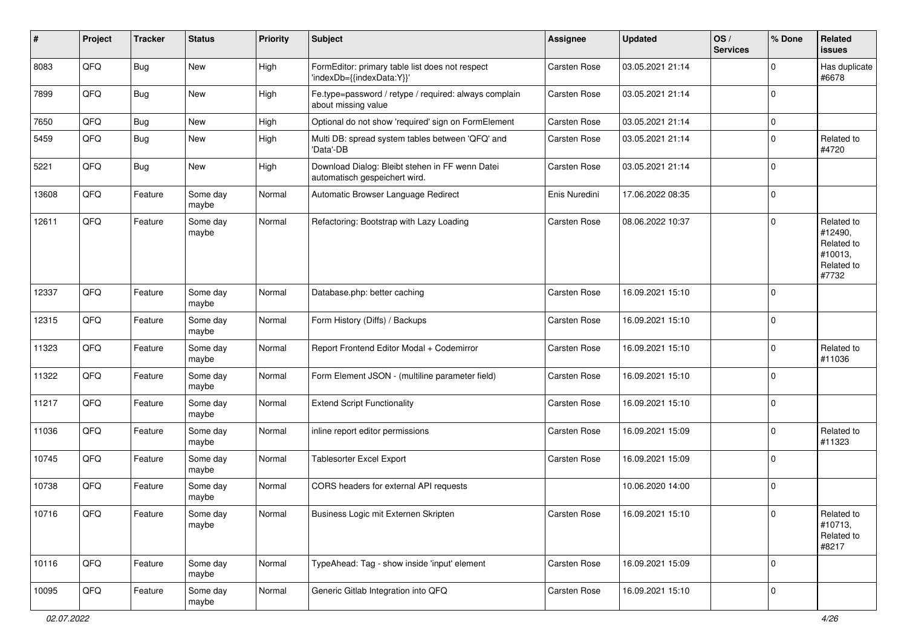| #     | Project | <b>Tracker</b> | <b>Status</b>     | <b>Priority</b> | <b>Subject</b>                                                                   | Assignee            | <b>Updated</b>   | OS/<br><b>Services</b> | % Done              | Related<br><b>issues</b>                                              |
|-------|---------|----------------|-------------------|-----------------|----------------------------------------------------------------------------------|---------------------|------------------|------------------------|---------------------|-----------------------------------------------------------------------|
| 8083  | QFQ     | Bug            | New               | High            | FormEditor: primary table list does not respect<br>'indexDb={{indexData:Y}}'     | Carsten Rose        | 03.05.2021 21:14 |                        | $\mathbf 0$         | Has duplicate<br>#6678                                                |
| 7899  | QFQ     | Bug            | <b>New</b>        | High            | Fe.type=password / retype / required: always complain<br>about missing value     | <b>Carsten Rose</b> | 03.05.2021 21:14 |                        | $\mathbf 0$         |                                                                       |
| 7650  | QFQ     | Bug            | New               | High            | Optional do not show 'required' sign on FormElement                              | Carsten Rose        | 03.05.2021 21:14 |                        | $\pmb{0}$           |                                                                       |
| 5459  | QFQ     | Bug            | New               | High            | Multi DB: spread system tables between 'QFQ' and<br>'Data'-DB                    | Carsten Rose        | 03.05.2021 21:14 |                        | $\mathbf 0$         | Related to<br>#4720                                                   |
| 5221  | QFQ     | Bug            | New               | High            | Download Dialog: Bleibt stehen in FF wenn Datei<br>automatisch gespeichert wird. | <b>Carsten Rose</b> | 03.05.2021 21:14 |                        | $\mathbf 0$         |                                                                       |
| 13608 | QFQ     | Feature        | Some day<br>maybe | Normal          | Automatic Browser Language Redirect                                              | Enis Nuredini       | 17.06.2022 08:35 |                        | $\mathbf 0$         |                                                                       |
| 12611 | QFQ     | Feature        | Some day<br>maybe | Normal          | Refactoring: Bootstrap with Lazy Loading                                         | Carsten Rose        | 08.06.2022 10:37 |                        | $\mathbf 0$         | Related to<br>#12490,<br>Related to<br>#10013,<br>Related to<br>#7732 |
| 12337 | QFQ     | Feature        | Some day<br>maybe | Normal          | Database.php: better caching                                                     | Carsten Rose        | 16.09.2021 15:10 |                        | $\mathbf 0$         |                                                                       |
| 12315 | QFQ     | Feature        | Some day<br>maybe | Normal          | Form History (Diffs) / Backups                                                   | Carsten Rose        | 16.09.2021 15:10 |                        | $\mathbf 0$         |                                                                       |
| 11323 | QFQ     | Feature        | Some day<br>maybe | Normal          | Report Frontend Editor Modal + Codemirror                                        | Carsten Rose        | 16.09.2021 15:10 |                        | $\mathbf 0$         | Related to<br>#11036                                                  |
| 11322 | QFQ     | Feature        | Some day<br>maybe | Normal          | Form Element JSON - (multiline parameter field)                                  | <b>Carsten Rose</b> | 16.09.2021 15:10 |                        | $\mathbf 0$         |                                                                       |
| 11217 | QFQ     | Feature        | Some day<br>maybe | Normal          | <b>Extend Script Functionality</b>                                               | <b>Carsten Rose</b> | 16.09.2021 15:10 |                        | $\mathbf 0$         |                                                                       |
| 11036 | QFQ     | Feature        | Some day<br>maybe | Normal          | inline report editor permissions                                                 | Carsten Rose        | 16.09.2021 15:09 |                        | $\mathbf 0$         | Related to<br>#11323                                                  |
| 10745 | QFQ     | Feature        | Some day<br>maybe | Normal          | <b>Tablesorter Excel Export</b>                                                  | Carsten Rose        | 16.09.2021 15:09 |                        | $\mathbf 0$         |                                                                       |
| 10738 | QFQ     | Feature        | Some day<br>maybe | Normal          | CORS headers for external API requests                                           |                     | 10.06.2020 14:00 |                        | $\mathbf 0$         |                                                                       |
| 10716 | QFG     | Feature        | Some day<br>maybe | Normal          | Business Logic mit Externen Skripten                                             | Carsten Rose        | 16.09.2021 15:10 |                        | $\mathsf{O}\xspace$ | Related to<br>#10713,<br>Related to<br>#8217                          |
| 10116 | QFQ     | Feature        | Some day<br>maybe | Normal          | TypeAhead: Tag - show inside 'input' element                                     | Carsten Rose        | 16.09.2021 15:09 |                        | $\mathbf 0$         |                                                                       |
| 10095 | QFQ     | Feature        | Some day<br>maybe | Normal          | Generic Gitlab Integration into QFQ                                              | Carsten Rose        | 16.09.2021 15:10 |                        | $\mathbf 0$         |                                                                       |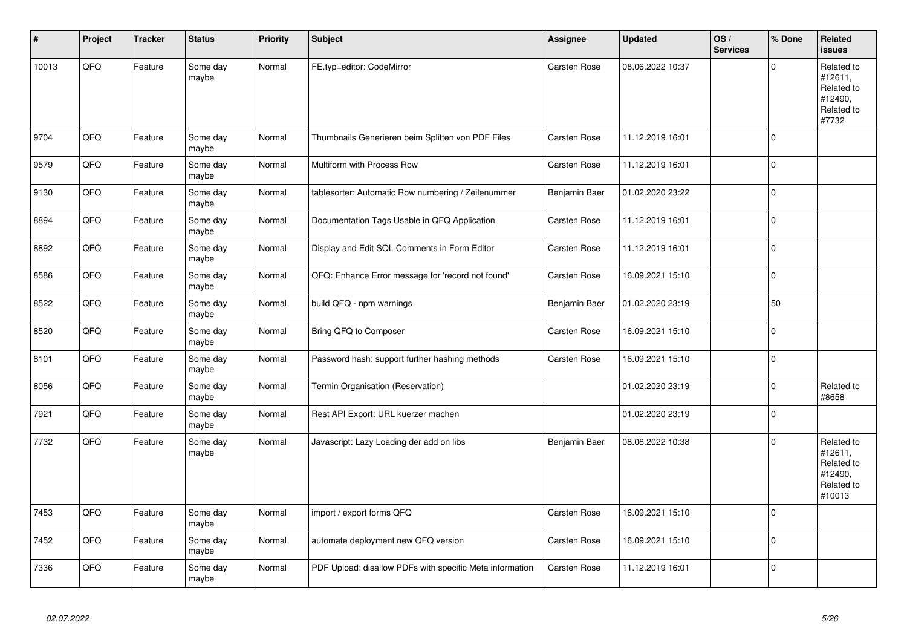| $\sharp$ | Project | <b>Tracker</b> | <b>Status</b>     | <b>Priority</b> | Subject                                                  | Assignee      | <b>Updated</b>   | OS/<br><b>Services</b> | % Done      | Related<br><b>issues</b>                                               |
|----------|---------|----------------|-------------------|-----------------|----------------------------------------------------------|---------------|------------------|------------------------|-------------|------------------------------------------------------------------------|
| 10013    | QFQ     | Feature        | Some day<br>maybe | Normal          | FE.typ=editor: CodeMirror                                | Carsten Rose  | 08.06.2022 10:37 |                        | $\Omega$    | Related to<br>#12611,<br>Related to<br>#12490,<br>Related to<br>#7732  |
| 9704     | QFQ     | Feature        | Some day<br>maybe | Normal          | Thumbnails Generieren beim Splitten von PDF Files        | Carsten Rose  | 11.12.2019 16:01 |                        | $\mathbf 0$ |                                                                        |
| 9579     | QFQ     | Feature        | Some day<br>maybe | Normal          | Multiform with Process Row                               | Carsten Rose  | 11.12.2019 16:01 |                        | $\Omega$    |                                                                        |
| 9130     | QFQ     | Feature        | Some day<br>maybe | Normal          | tablesorter: Automatic Row numbering / Zeilenummer       | Benjamin Baer | 01.02.2020 23:22 |                        | $\pmb{0}$   |                                                                        |
| 8894     | QFQ     | Feature        | Some day<br>maybe | Normal          | Documentation Tags Usable in QFQ Application             | Carsten Rose  | 11.12.2019 16:01 |                        | $\pmb{0}$   |                                                                        |
| 8892     | QFQ     | Feature        | Some day<br>maybe | Normal          | Display and Edit SQL Comments in Form Editor             | Carsten Rose  | 11.12.2019 16:01 |                        | $\pmb{0}$   |                                                                        |
| 8586     | QFQ     | Feature        | Some day<br>maybe | Normal          | QFQ: Enhance Error message for 'record not found'        | Carsten Rose  | 16.09.2021 15:10 |                        | $\Omega$    |                                                                        |
| 8522     | QFQ     | Feature        | Some day<br>maybe | Normal          | build QFQ - npm warnings                                 | Benjamin Baer | 01.02.2020 23:19 |                        | 50          |                                                                        |
| 8520     | QFQ     | Feature        | Some day<br>maybe | Normal          | Bring QFQ to Composer                                    | Carsten Rose  | 16.09.2021 15:10 |                        | $\pmb{0}$   |                                                                        |
| 8101     | QFQ     | Feature        | Some day<br>maybe | Normal          | Password hash: support further hashing methods           | Carsten Rose  | 16.09.2021 15:10 |                        | $\Omega$    |                                                                        |
| 8056     | QFQ     | Feature        | Some day<br>maybe | Normal          | Termin Organisation (Reservation)                        |               | 01.02.2020 23:19 |                        | $\pmb{0}$   | Related to<br>#8658                                                    |
| 7921     | QFQ     | Feature        | Some day<br>maybe | Normal          | Rest API Export: URL kuerzer machen                      |               | 01.02.2020 23:19 |                        | $\mathbf 0$ |                                                                        |
| 7732     | QFQ     | Feature        | Some day<br>maybe | Normal          | Javascript: Lazy Loading der add on libs                 | Benjamin Baer | 08.06.2022 10:38 |                        | $\Omega$    | Related to<br>#12611,<br>Related to<br>#12490,<br>Related to<br>#10013 |
| 7453     | QFQ     | Feature        | Some day<br>maybe | Normal          | import / export forms QFQ                                | Carsten Rose  | 16.09.2021 15:10 |                        | $\Omega$    |                                                                        |
| 7452     | QFQ     | Feature        | Some day<br>maybe | Normal          | automate deployment new QFQ version                      | Carsten Rose  | 16.09.2021 15:10 |                        | $\mathbf 0$ |                                                                        |
| 7336     | QFQ     | Feature        | Some day<br>maybe | Normal          | PDF Upload: disallow PDFs with specific Meta information | Carsten Rose  | 11.12.2019 16:01 |                        | $\mathbf 0$ |                                                                        |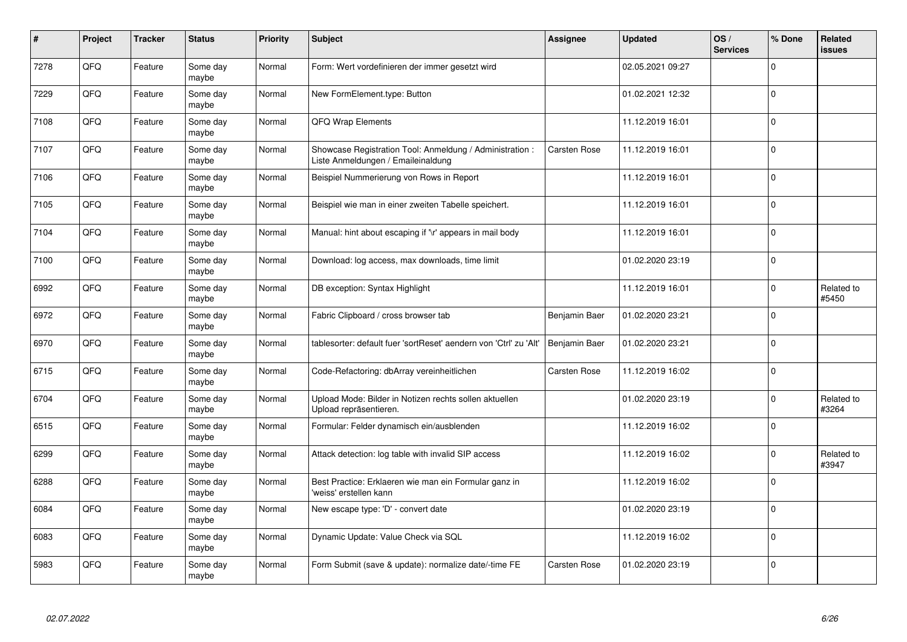| $\pmb{\#}$ | Project | <b>Tracker</b> | <b>Status</b>     | <b>Priority</b> | <b>Subject</b>                                                                                 | <b>Assignee</b> | <b>Updated</b>   | OS/<br><b>Services</b> | % Done      | Related<br><b>issues</b> |
|------------|---------|----------------|-------------------|-----------------|------------------------------------------------------------------------------------------------|-----------------|------------------|------------------------|-------------|--------------------------|
| 7278       | QFQ     | Feature        | Some day<br>maybe | Normal          | Form: Wert vordefinieren der immer gesetzt wird                                                |                 | 02.05.2021 09:27 |                        | $\Omega$    |                          |
| 7229       | QFQ     | Feature        | Some day<br>maybe | Normal          | New FormElement.type: Button                                                                   |                 | 01.02.2021 12:32 |                        | $\Omega$    |                          |
| 7108       | QFQ     | Feature        | Some day<br>maybe | Normal          | QFQ Wrap Elements                                                                              |                 | 11.12.2019 16:01 |                        | $\Omega$    |                          |
| 7107       | QFQ     | Feature        | Some day<br>maybe | Normal          | Showcase Registration Tool: Anmeldung / Administration :<br>Liste Anmeldungen / Emaileinaldung | Carsten Rose    | 11.12.2019 16:01 |                        | $\mathbf 0$ |                          |
| 7106       | QFQ     | Feature        | Some day<br>maybe | Normal          | Beispiel Nummerierung von Rows in Report                                                       |                 | 11.12.2019 16:01 |                        | $\Omega$    |                          |
| 7105       | QFQ     | Feature        | Some day<br>maybe | Normal          | Beispiel wie man in einer zweiten Tabelle speichert.                                           |                 | 11.12.2019 16:01 |                        | $\mathbf 0$ |                          |
| 7104       | QFQ     | Feature        | Some day<br>maybe | Normal          | Manual: hint about escaping if '\r' appears in mail body                                       |                 | 11.12.2019 16:01 |                        | $\Omega$    |                          |
| 7100       | QFQ     | Feature        | Some day<br>maybe | Normal          | Download: log access, max downloads, time limit                                                |                 | 01.02.2020 23:19 |                        | $\mathbf 0$ |                          |
| 6992       | QFQ     | Feature        | Some day<br>maybe | Normal          | DB exception: Syntax Highlight                                                                 |                 | 11.12.2019 16:01 |                        | $\Omega$    | Related to<br>#5450      |
| 6972       | QFQ     | Feature        | Some day<br>maybe | Normal          | Fabric Clipboard / cross browser tab                                                           | Benjamin Baer   | 01.02.2020 23:21 |                        | $\Omega$    |                          |
| 6970       | QFQ     | Feature        | Some day<br>maybe | Normal          | tablesorter: default fuer 'sortReset' aendern von 'Ctrl' zu 'Alt'                              | Benjamin Baer   | 01.02.2020 23:21 |                        | $\Omega$    |                          |
| 6715       | QFQ     | Feature        | Some day<br>maybe | Normal          | Code-Refactoring: dbArray vereinheitlichen                                                     | Carsten Rose    | 11.12.2019 16:02 |                        | $\mathbf 0$ |                          |
| 6704       | QFQ     | Feature        | Some day<br>maybe | Normal          | Upload Mode: Bilder in Notizen rechts sollen aktuellen<br>Upload repräsentieren.               |                 | 01.02.2020 23:19 |                        | $\Omega$    | Related to<br>#3264      |
| 6515       | QFQ     | Feature        | Some day<br>maybe | Normal          | Formular: Felder dynamisch ein/ausblenden                                                      |                 | 11.12.2019 16:02 |                        | $\Omega$    |                          |
| 6299       | QFQ     | Feature        | Some day<br>maybe | Normal          | Attack detection: log table with invalid SIP access                                            |                 | 11.12.2019 16:02 |                        | $\Omega$    | Related to<br>#3947      |
| 6288       | QFQ     | Feature        | Some day<br>maybe | Normal          | Best Practice: Erklaeren wie man ein Formular ganz in<br>'weiss' erstellen kann                |                 | 11.12.2019 16:02 |                        | $\Omega$    |                          |
| 6084       | QFQ     | Feature        | Some day<br>maybe | Normal          | New escape type: 'D' - convert date                                                            |                 | 01.02.2020 23:19 |                        | $\Omega$    |                          |
| 6083       | QFQ     | Feature        | Some day<br>maybe | Normal          | Dynamic Update: Value Check via SQL                                                            |                 | 11.12.2019 16:02 |                        | $\Omega$    |                          |
| 5983       | QFQ     | Feature        | Some day<br>maybe | Normal          | Form Submit (save & update): normalize date/-time FE                                           | Carsten Rose    | 01.02.2020 23:19 |                        | $\Omega$    |                          |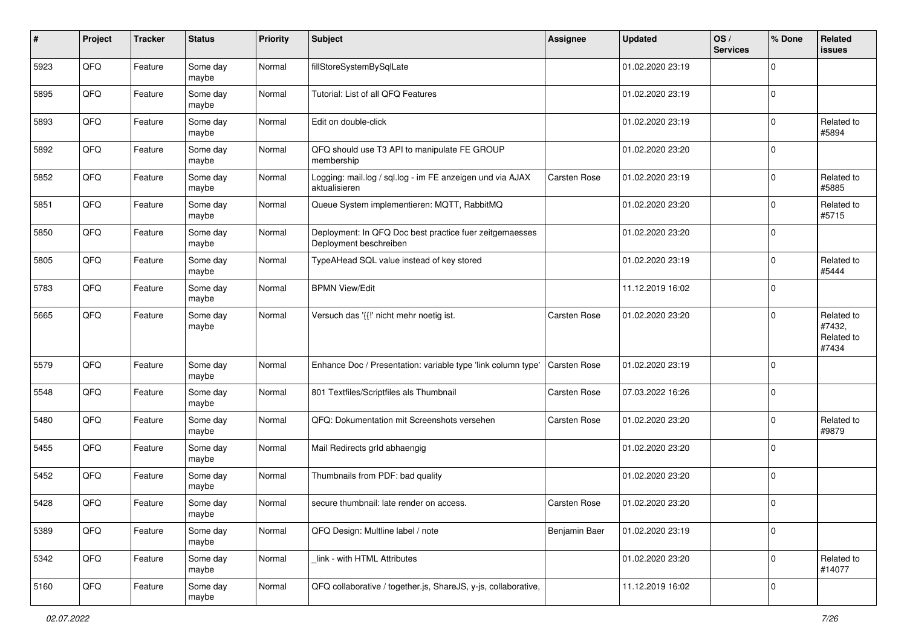| $\pmb{\#}$ | Project | <b>Tracker</b> | <b>Status</b>     | <b>Priority</b> | Subject                                                                           | Assignee            | <b>Updated</b>   | OS/<br><b>Services</b> | % Done      | Related<br>issues                           |
|------------|---------|----------------|-------------------|-----------------|-----------------------------------------------------------------------------------|---------------------|------------------|------------------------|-------------|---------------------------------------------|
| 5923       | QFQ     | Feature        | Some day<br>maybe | Normal          | fillStoreSystemBySqlLate                                                          |                     | 01.02.2020 23:19 |                        | $\Omega$    |                                             |
| 5895       | QFQ     | Feature        | Some day<br>maybe | Normal          | Tutorial: List of all QFQ Features                                                |                     | 01.02.2020 23:19 |                        | $\mathbf 0$ |                                             |
| 5893       | QFQ     | Feature        | Some day<br>maybe | Normal          | Edit on double-click                                                              |                     | 01.02.2020 23:19 |                        | $\mathbf 0$ | Related to<br>#5894                         |
| 5892       | QFQ     | Feature        | Some day<br>maybe | Normal          | QFQ should use T3 API to manipulate FE GROUP<br>membership                        |                     | 01.02.2020 23:20 |                        | $\mathbf 0$ |                                             |
| 5852       | QFQ     | Feature        | Some day<br>maybe | Normal          | Logging: mail.log / sql.log - im FE anzeigen und via AJAX<br>aktualisieren        | <b>Carsten Rose</b> | 01.02.2020 23:19 |                        | $\mathbf 0$ | Related to<br>#5885                         |
| 5851       | QFQ     | Feature        | Some day<br>maybe | Normal          | Queue System implementieren: MQTT, RabbitMQ                                       |                     | 01.02.2020 23:20 |                        | $\mathbf 0$ | Related to<br>#5715                         |
| 5850       | QFQ     | Feature        | Some day<br>maybe | Normal          | Deployment: In QFQ Doc best practice fuer zeitgemaesses<br>Deployment beschreiben |                     | 01.02.2020 23:20 |                        | $\mathbf 0$ |                                             |
| 5805       | QFQ     | Feature        | Some day<br>maybe | Normal          | TypeAHead SQL value instead of key stored                                         |                     | 01.02.2020 23:19 |                        | $\mathbf 0$ | Related to<br>#5444                         |
| 5783       | QFQ     | Feature        | Some day<br>maybe | Normal          | <b>BPMN View/Edit</b>                                                             |                     | 11.12.2019 16:02 |                        | $\mathbf 0$ |                                             |
| 5665       | QFQ     | Feature        | Some day<br>maybe | Normal          | Versuch das '{{!' nicht mehr noetig ist.                                          | Carsten Rose        | 01.02.2020 23:20 |                        | $\Omega$    | Related to<br>#7432,<br>Related to<br>#7434 |
| 5579       | QFQ     | Feature        | Some day<br>maybe | Normal          | Enhance Doc / Presentation: variable type 'link column type'                      | <b>Carsten Rose</b> | 01.02.2020 23:19 |                        | $\mathbf 0$ |                                             |
| 5548       | QFQ     | Feature        | Some day<br>maybe | Normal          | 801 Textfiles/Scriptfiles als Thumbnail                                           | <b>Carsten Rose</b> | 07.03.2022 16:26 |                        | $\mathbf 0$ |                                             |
| 5480       | QFQ     | Feature        | Some day<br>maybe | Normal          | QFQ: Dokumentation mit Screenshots versehen                                       | Carsten Rose        | 01.02.2020 23:20 |                        | $\mathbf 0$ | Related to<br>#9879                         |
| 5455       | QFQ     | Feature        | Some day<br>maybe | Normal          | Mail Redirects grld abhaengig                                                     |                     | 01.02.2020 23:20 |                        | $\mathbf 0$ |                                             |
| 5452       | QFQ     | Feature        | Some day<br>maybe | Normal          | Thumbnails from PDF: bad quality                                                  |                     | 01.02.2020 23:20 |                        | $\mathbf 0$ |                                             |
| 5428       | QFQ     | Feature        | Some day<br>maybe | Normal          | secure thumbnail: late render on access.                                          | Carsten Rose        | 01.02.2020 23:20 |                        | $\mathbf 0$ |                                             |
| 5389       | QFQ     | Feature        | Some day<br>maybe | Normal          | QFQ Design: Multline label / note                                                 | Benjamin Baer       | 01.02.2020 23:19 |                        | 0           |                                             |
| 5342       | QFQ     | Feature        | Some day<br>maybe | Normal          | link - with HTML Attributes                                                       |                     | 01.02.2020 23:20 |                        | $\mathbf 0$ | Related to<br>#14077                        |
| 5160       | QFG     | Feature        | Some day<br>maybe | Normal          | QFQ collaborative / together.js, ShareJS, y-js, collaborative,                    |                     | 11.12.2019 16:02 |                        | $\mathbf 0$ |                                             |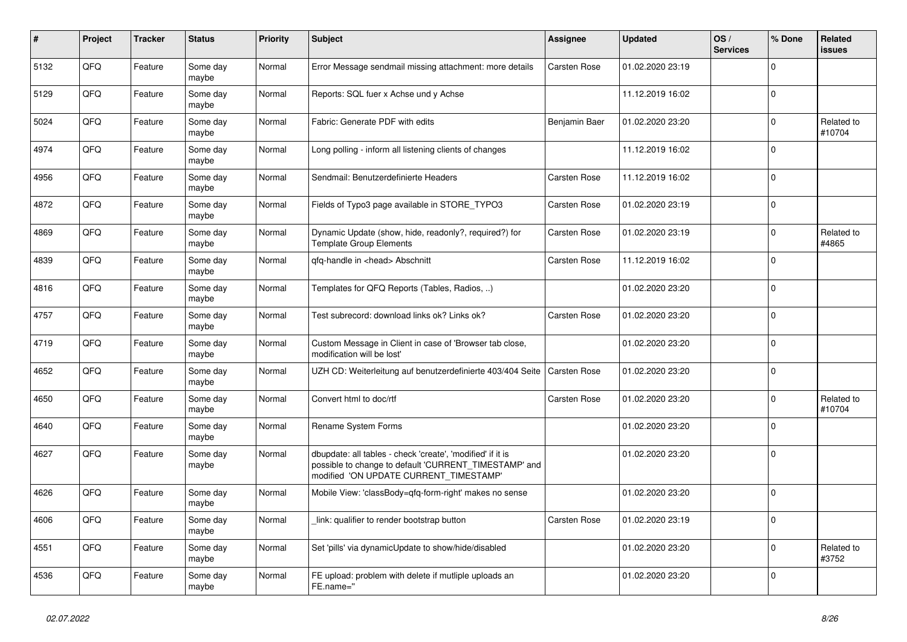| $\pmb{\sharp}$ | <b>Project</b> | <b>Tracker</b> | <b>Status</b>     | <b>Priority</b> | <b>Subject</b>                                                                                                                                                | <b>Assignee</b> | <b>Updated</b>   | OS/<br><b>Services</b> | % Done      | Related<br><b>issues</b> |
|----------------|----------------|----------------|-------------------|-----------------|---------------------------------------------------------------------------------------------------------------------------------------------------------------|-----------------|------------------|------------------------|-------------|--------------------------|
| 5132           | QFQ            | Feature        | Some day<br>maybe | Normal          | Error Message sendmail missing attachment: more details                                                                                                       | Carsten Rose    | 01.02.2020 23:19 |                        | $\Omega$    |                          |
| 5129           | QFQ            | Feature        | Some day<br>maybe | Normal          | Reports: SQL fuer x Achse und y Achse                                                                                                                         |                 | 11.12.2019 16:02 |                        | $\mathbf 0$ |                          |
| 5024           | QFQ            | Feature        | Some day<br>maybe | Normal          | Fabric: Generate PDF with edits                                                                                                                               | Benjamin Baer   | 01.02.2020 23:20 |                        | $\Omega$    | Related to<br>#10704     |
| 4974           | QFQ            | Feature        | Some day<br>maybe | Normal          | Long polling - inform all listening clients of changes                                                                                                        |                 | 11.12.2019 16:02 |                        | $\Omega$    |                          |
| 4956           | QFQ            | Feature        | Some day<br>maybe | Normal          | Sendmail: Benutzerdefinierte Headers                                                                                                                          | Carsten Rose    | 11.12.2019 16:02 |                        | $\mathbf 0$ |                          |
| 4872           | QFQ            | Feature        | Some day<br>maybe | Normal          | Fields of Typo3 page available in STORE_TYPO3                                                                                                                 | Carsten Rose    | 01.02.2020 23:19 |                        | $\Omega$    |                          |
| 4869           | QFQ            | Feature        | Some day<br>maybe | Normal          | Dynamic Update (show, hide, readonly?, required?) for<br><b>Template Group Elements</b>                                                                       | Carsten Rose    | 01.02.2020 23:19 |                        | $\Omega$    | Related to<br>#4865      |
| 4839           | QFQ            | Feature        | Some day<br>maybe | Normal          | gfg-handle in <head> Abschnitt</head>                                                                                                                         | Carsten Rose    | 11.12.2019 16:02 |                        | $\Omega$    |                          |
| 4816           | QFQ            | Feature        | Some day<br>maybe | Normal          | Templates for QFQ Reports (Tables, Radios, )                                                                                                                  |                 | 01.02.2020 23:20 |                        | $\Omega$    |                          |
| 4757           | QFQ            | Feature        | Some day<br>maybe | Normal          | Test subrecord: download links ok? Links ok?                                                                                                                  | Carsten Rose    | 01.02.2020 23:20 |                        | $\Omega$    |                          |
| 4719           | QFQ            | Feature        | Some day<br>maybe | Normal          | Custom Message in Client in case of 'Browser tab close,<br>modification will be lost'                                                                         |                 | 01.02.2020 23:20 |                        | $\Omega$    |                          |
| 4652           | QFQ            | Feature        | Some day<br>maybe | Normal          | UZH CD: Weiterleitung auf benutzerdefinierte 403/404 Seite                                                                                                    | Carsten Rose    | 01.02.2020 23:20 |                        | $\Omega$    |                          |
| 4650           | QFQ            | Feature        | Some day<br>maybe | Normal          | Convert html to doc/rtf                                                                                                                                       | Carsten Rose    | 01.02.2020 23:20 |                        | $\Omega$    | Related to<br>#10704     |
| 4640           | QFQ            | Feature        | Some day<br>maybe | Normal          | Rename System Forms                                                                                                                                           |                 | 01.02.2020 23:20 |                        | $\Omega$    |                          |
| 4627           | QFQ            | Feature        | Some day<br>maybe | Normal          | dbupdate: all tables - check 'create', 'modified' if it is<br>possible to change to default 'CURRENT_TIMESTAMP' and<br>modified 'ON UPDATE CURRENT_TIMESTAMP' |                 | 01.02.2020 23:20 |                        | $\Omega$    |                          |
| 4626           | QFQ            | Feature        | Some day<br>maybe | Normal          | Mobile View: 'classBody=qfq-form-right' makes no sense                                                                                                        |                 | 01.02.2020 23:20 |                        | $\Omega$    |                          |
| 4606           | QFQ            | Feature        | Some day<br>maybe | Normal          | link: qualifier to render bootstrap button                                                                                                                    | Carsten Rose    | 01.02.2020 23:19 |                        | $\Omega$    |                          |
| 4551           | QFQ            | Feature        | Some day<br>maybe | Normal          | Set 'pills' via dynamicUpdate to show/hide/disabled                                                                                                           |                 | 01.02.2020 23:20 |                        | $\Omega$    | Related to<br>#3752      |
| 4536           | QFQ            | Feature        | Some day<br>maybe | Normal          | FE upload: problem with delete if mutliple uploads an<br>FE.name="                                                                                            |                 | 01.02.2020 23:20 |                        | $\Omega$    |                          |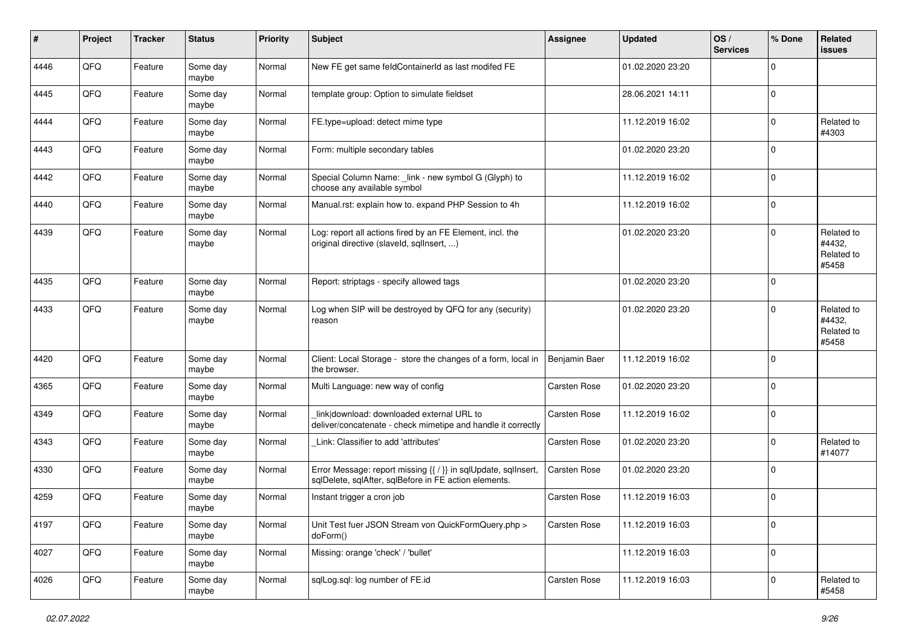| $\sharp$ | Project | <b>Tracker</b> | <b>Status</b>     | <b>Priority</b> | <b>Subject</b>                                                                                                          | <b>Assignee</b>     | <b>Updated</b>   | $\log$<br><b>Services</b> | % Done      | Related<br>issues                           |
|----------|---------|----------------|-------------------|-----------------|-------------------------------------------------------------------------------------------------------------------------|---------------------|------------------|---------------------------|-------------|---------------------------------------------|
| 4446     | QFQ     | Feature        | Some day<br>maybe | Normal          | New FE get same feldContainerId as last modifed FE                                                                      |                     | 01.02.2020 23:20 |                           | $\Omega$    |                                             |
| 4445     | QFQ     | Feature        | Some day<br>maybe | Normal          | template group: Option to simulate fieldset                                                                             |                     | 28.06.2021 14:11 |                           | $\mathbf 0$ |                                             |
| 4444     | QFQ     | Feature        | Some day<br>maybe | Normal          | FE.type=upload: detect mime type                                                                                        |                     | 11.12.2019 16:02 |                           | $\Omega$    | Related to<br>#4303                         |
| 4443     | QFQ     | Feature        | Some day<br>maybe | Normal          | Form: multiple secondary tables                                                                                         |                     | 01.02.2020 23:20 |                           | $\Omega$    |                                             |
| 4442     | QFQ     | Feature        | Some day<br>maybe | Normal          | Special Column Name: _link - new symbol G (Glyph) to<br>choose any available symbol                                     |                     | 11.12.2019 16:02 |                           | $\Omega$    |                                             |
| 4440     | QFQ     | Feature        | Some day<br>maybe | Normal          | Manual.rst: explain how to. expand PHP Session to 4h                                                                    |                     | 11.12.2019 16:02 |                           | $\mathbf 0$ |                                             |
| 4439     | QFQ     | Feature        | Some day<br>maybe | Normal          | Log: report all actions fired by an FE Element, incl. the<br>original directive (slaveld, sqllnsert, )                  |                     | 01.02.2020 23:20 |                           | $\Omega$    | Related to<br>#4432,<br>Related to<br>#5458 |
| 4435     | QFQ     | Feature        | Some day<br>maybe | Normal          | Report: striptags - specify allowed tags                                                                                |                     | 01.02.2020 23:20 |                           | $\mathbf 0$ |                                             |
| 4433     | QFQ     | Feature        | Some day<br>maybe | Normal          | Log when SIP will be destroyed by QFQ for any (security)<br>reason                                                      |                     | 01.02.2020 23:20 |                           | $\Omega$    | Related to<br>#4432,<br>Related to<br>#5458 |
| 4420     | QFQ     | Feature        | Some day<br>maybe | Normal          | Client: Local Storage - store the changes of a form, local in<br>the browser.                                           | Benjamin Baer       | 11.12.2019 16:02 |                           | $\Omega$    |                                             |
| 4365     | QFQ     | Feature        | Some day<br>maybe | Normal          | Multi Language: new way of config                                                                                       | <b>Carsten Rose</b> | 01.02.2020 23:20 |                           | $\Omega$    |                                             |
| 4349     | QFQ     | Feature        | Some day<br>maybe | Normal          | link download: downloaded external URL to<br>deliver/concatenate - check mimetipe and handle it correctly               | <b>Carsten Rose</b> | 11.12.2019 16:02 |                           | $\mathbf 0$ |                                             |
| 4343     | QFQ     | Feature        | Some day<br>maybe | Normal          | Link: Classifier to add 'attributes'                                                                                    | <b>Carsten Rose</b> | 01.02.2020 23:20 |                           | $\Omega$    | Related to<br>#14077                        |
| 4330     | QFQ     | Feature        | Some day<br>maybe | Normal          | Error Message: report missing {{ / }} in sqlUpdate, sqlInsert,<br>sqlDelete, sqlAfter, sqlBefore in FE action elements. | Carsten Rose        | 01.02.2020 23:20 |                           | $\mathbf 0$ |                                             |
| 4259     | QFQ     | Feature        | Some day<br>maybe | Normal          | Instant trigger a cron job                                                                                              | Carsten Rose        | 11.12.2019 16:03 |                           | $\Omega$    |                                             |
| 4197     | QFQ     | Feature        | Some day<br>maybe | Normal          | Unit Test fuer JSON Stream von QuickFormQuery.php ><br>doForm()                                                         | Carsten Rose        | 11.12.2019 16:03 |                           | $\mathbf 0$ |                                             |
| 4027     | QFQ     | Feature        | Some day<br>maybe | Normal          | Missing: orange 'check' / 'bullet'                                                                                      |                     | 11.12.2019 16:03 |                           | $\mathbf 0$ |                                             |
| 4026     | QFQ     | Feature        | Some day<br>maybe | Normal          | sqlLog.sql: log number of FE.id                                                                                         | Carsten Rose        | 11.12.2019 16:03 |                           | $\mathbf 0$ | Related to<br>#5458                         |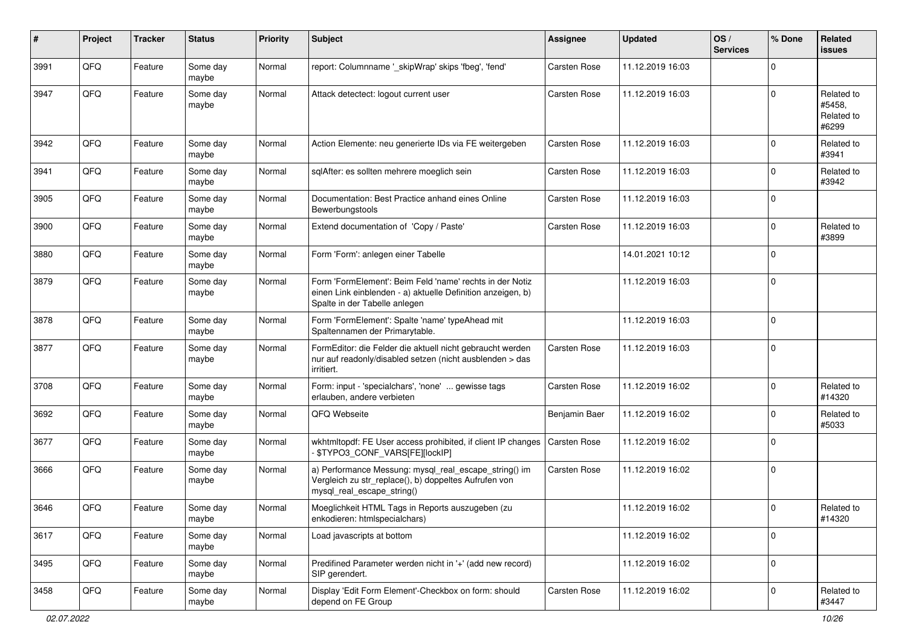| #    | Project | <b>Tracker</b> | <b>Status</b>     | <b>Priority</b> | <b>Subject</b>                                                                                                                                           | <b>Assignee</b>     | <b>Updated</b>   | OS/<br><b>Services</b> | % Done      | Related<br>issues                           |
|------|---------|----------------|-------------------|-----------------|----------------------------------------------------------------------------------------------------------------------------------------------------------|---------------------|------------------|------------------------|-------------|---------------------------------------------|
| 3991 | QFQ     | Feature        | Some day<br>maybe | Normal          | report: Columnname '_skipWrap' skips 'fbeg', 'fend'                                                                                                      | <b>Carsten Rose</b> | 11.12.2019 16:03 |                        | $\mathbf 0$ |                                             |
| 3947 | QFQ     | Feature        | Some day<br>maybe | Normal          | Attack detectect: logout current user                                                                                                                    | Carsten Rose        | 11.12.2019 16:03 |                        | $\Omega$    | Related to<br>#5458.<br>Related to<br>#6299 |
| 3942 | QFQ     | Feature        | Some day<br>maybe | Normal          | Action Elemente: neu generierte IDs via FE weitergeben                                                                                                   | <b>Carsten Rose</b> | 11.12.2019 16:03 |                        | $\mathbf 0$ | Related to<br>#3941                         |
| 3941 | QFQ     | Feature        | Some day<br>maybe | Normal          | sqlAfter: es sollten mehrere moeglich sein                                                                                                               | <b>Carsten Rose</b> | 11.12.2019 16:03 |                        | $\mathbf 0$ | Related to<br>#3942                         |
| 3905 | QFQ     | Feature        | Some day<br>maybe | Normal          | Documentation: Best Practice anhand eines Online<br>Bewerbungstools                                                                                      | <b>Carsten Rose</b> | 11.12.2019 16:03 |                        | $\mathbf 0$ |                                             |
| 3900 | QFQ     | Feature        | Some day<br>maybe | Normal          | Extend documentation of 'Copy / Paste'                                                                                                                   | <b>Carsten Rose</b> | 11.12.2019 16:03 |                        | $\mathbf 0$ | Related to<br>#3899                         |
| 3880 | QFQ     | Feature        | Some day<br>maybe | Normal          | Form 'Form': anlegen einer Tabelle                                                                                                                       |                     | 14.01.2021 10:12 |                        | $\Omega$    |                                             |
| 3879 | QFQ     | Feature        | Some day<br>maybe | Normal          | Form 'FormElement': Beim Feld 'name' rechts in der Notiz<br>einen Link einblenden - a) aktuelle Definition anzeigen, b)<br>Spalte in der Tabelle anlegen |                     | 11.12.2019 16:03 |                        | $\Omega$    |                                             |
| 3878 | QFQ     | Feature        | Some day<br>maybe | Normal          | Form 'FormElement': Spalte 'name' typeAhead mit<br>Spaltennamen der Primarytable.                                                                        |                     | 11.12.2019 16:03 |                        | $\mathbf 0$ |                                             |
| 3877 | QFQ     | Feature        | Some day<br>maybe | Normal          | FormEditor: die Felder die aktuell nicht gebraucht werden<br>nur auf readonly/disabled setzen (nicht ausblenden > das<br>irritiert.                      | <b>Carsten Rose</b> | 11.12.2019 16:03 |                        | $\Omega$    |                                             |
| 3708 | QFQ     | Feature        | Some day<br>maybe | Normal          | Form: input - 'specialchars', 'none'  gewisse tags<br>erlauben, andere verbieten                                                                         | <b>Carsten Rose</b> | 11.12.2019 16:02 |                        | $\Omega$    | Related to<br>#14320                        |
| 3692 | QFQ     | Feature        | Some day<br>maybe | Normal          | QFQ Webseite                                                                                                                                             | Benjamin Baer       | 11.12.2019 16:02 |                        | $\mathbf 0$ | Related to<br>#5033                         |
| 3677 | QFQ     | Feature        | Some day<br>maybe | Normal          | wkhtmltopdf: FE User access prohibited, if client IP changes<br>\$TYPO3_CONF_VARS[FE][lockIP]                                                            | Carsten Rose        | 11.12.2019 16:02 |                        | $\mathbf 0$ |                                             |
| 3666 | QFQ     | Feature        | Some day<br>maybe | Normal          | a) Performance Messung: mysql_real_escape_string() im<br>Vergleich zu str_replace(), b) doppeltes Aufrufen von<br>mysql_real_escape_string()             | Carsten Rose        | 11.12.2019 16:02 |                        | $\mathbf 0$ |                                             |
| 3646 | QFQ     | Feature        | Some day<br>maybe | Normal          | Moeglichkeit HTML Tags in Reports auszugeben (zu<br>enkodieren: htmlspecialchars)                                                                        |                     | 11.12.2019 16:02 |                        | $\mathbf 0$ | Related to<br>#14320                        |
| 3617 | QFQ     | Feature        | Some day<br>maybe | Normal          | Load javascripts at bottom                                                                                                                               |                     | 11.12.2019 16:02 |                        | $\mathbf 0$ |                                             |
| 3495 | QFQ     | Feature        | Some day<br>maybe | Normal          | Predifined Parameter werden nicht in '+' (add new record)<br>SIP gerendert.                                                                              |                     | 11.12.2019 16:02 |                        | $\mathbf 0$ |                                             |
| 3458 | QFQ     | Feature        | Some day<br>maybe | Normal          | Display 'Edit Form Element'-Checkbox on form: should<br>depend on FE Group                                                                               | Carsten Rose        | 11.12.2019 16:02 |                        | $\mathbf 0$ | Related to<br>#3447                         |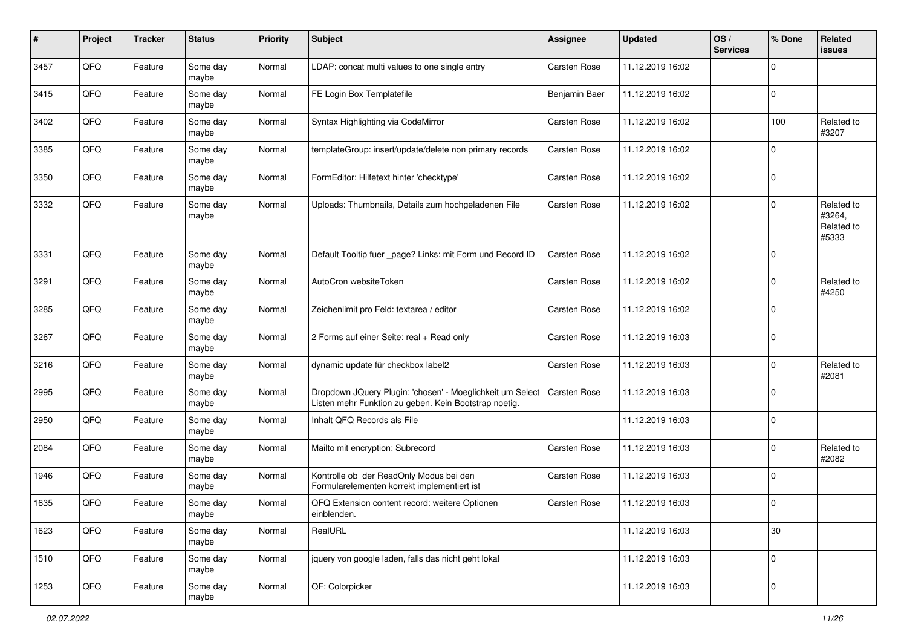| #    | Project | <b>Tracker</b> | <b>Status</b>     | <b>Priority</b> | Subject                                                                                                            | <b>Assignee</b>     | <b>Updated</b>   | OS/<br><b>Services</b> | % Done      | Related<br>issues                           |
|------|---------|----------------|-------------------|-----------------|--------------------------------------------------------------------------------------------------------------------|---------------------|------------------|------------------------|-------------|---------------------------------------------|
| 3457 | QFQ     | Feature        | Some day<br>maybe | Normal          | LDAP: concat multi values to one single entry                                                                      | Carsten Rose        | 11.12.2019 16:02 |                        | 0           |                                             |
| 3415 | QFQ     | Feature        | Some day<br>maybe | Normal          | FE Login Box Templatefile                                                                                          | Benjamin Baer       | 11.12.2019 16:02 |                        | $\mathbf 0$ |                                             |
| 3402 | QFQ     | Feature        | Some day<br>maybe | Normal          | Syntax Highlighting via CodeMirror                                                                                 | Carsten Rose        | 11.12.2019 16:02 |                        | 100         | Related to<br>#3207                         |
| 3385 | QFQ     | Feature        | Some day<br>maybe | Normal          | templateGroup: insert/update/delete non primary records                                                            | Carsten Rose        | 11.12.2019 16:02 |                        | 0           |                                             |
| 3350 | QFQ     | Feature        | Some day<br>maybe | Normal          | FormEditor: Hilfetext hinter 'checktype'                                                                           | Carsten Rose        | 11.12.2019 16:02 |                        | $\mathbf 0$ |                                             |
| 3332 | QFQ     | Feature        | Some day<br>maybe | Normal          | Uploads: Thumbnails, Details zum hochgeladenen File                                                                | Carsten Rose        | 11.12.2019 16:02 |                        | 0           | Related to<br>#3264,<br>Related to<br>#5333 |
| 3331 | QFQ     | Feature        | Some day<br>maybe | Normal          | Default Tooltip fuer _page? Links: mit Form und Record ID                                                          | <b>Carsten Rose</b> | 11.12.2019 16:02 |                        | $\mathbf 0$ |                                             |
| 3291 | QFQ     | Feature        | Some day<br>maybe | Normal          | AutoCron websiteToken                                                                                              | <b>Carsten Rose</b> | 11.12.2019 16:02 |                        | 0           | Related to<br>#4250                         |
| 3285 | QFQ     | Feature        | Some day<br>maybe | Normal          | Zeichenlimit pro Feld: textarea / editor                                                                           | <b>Carsten Rose</b> | 11.12.2019 16:02 |                        | $\Omega$    |                                             |
| 3267 | QFQ     | Feature        | Some day<br>maybe | Normal          | 2 Forms auf einer Seite: real + Read only                                                                          | <b>Carsten Rose</b> | 11.12.2019 16:03 |                        | 0           |                                             |
| 3216 | QFQ     | Feature        | Some day<br>maybe | Normal          | dynamic update für checkbox label2                                                                                 | Carsten Rose        | 11.12.2019 16:03 |                        | $\mathbf 0$ | Related to<br>#2081                         |
| 2995 | QFQ     | Feature        | Some day<br>maybe | Normal          | Dropdown JQuery Plugin: 'chosen' - Moeglichkeit um Select<br>Listen mehr Funktion zu geben. Kein Bootstrap noetig. | Carsten Rose        | 11.12.2019 16:03 |                        | $\Omega$    |                                             |
| 2950 | QFQ     | Feature        | Some day<br>maybe | Normal          | Inhalt QFQ Records als File                                                                                        |                     | 11.12.2019 16:03 |                        | $\mathbf 0$ |                                             |
| 2084 | QFQ     | Feature        | Some day<br>maybe | Normal          | Mailto mit encryption: Subrecord                                                                                   | <b>Carsten Rose</b> | 11.12.2019 16:03 |                        | 0           | Related to<br>#2082                         |
| 1946 | QFQ     | Feature        | Some day<br>maybe | Normal          | Kontrolle ob der ReadOnly Modus bei den<br>Formularelementen korrekt implementiert ist                             | Carsten Rose        | 11.12.2019 16:03 |                        | $\mathbf 0$ |                                             |
| 1635 | QFQ     | Feature        | Some day<br>maybe | Normal          | QFQ Extension content record: weitere Optionen<br>einblenden.                                                      | Carsten Rose        | 11.12.2019 16:03 |                        | $\mathbf 0$ |                                             |
| 1623 | QFQ     | Feature        | Some day<br>maybe | Normal          | RealURL                                                                                                            |                     | 11.12.2019 16:03 |                        | 30          |                                             |
| 1510 | QFQ     | Feature        | Some day<br>maybe | Normal          | jquery von google laden, falls das nicht geht lokal                                                                |                     | 11.12.2019 16:03 |                        | $\pmb{0}$   |                                             |
| 1253 | QFQ     | Feature        | Some day<br>maybe | Normal          | QF: Colorpicker                                                                                                    |                     | 11.12.2019 16:03 |                        | $\pmb{0}$   |                                             |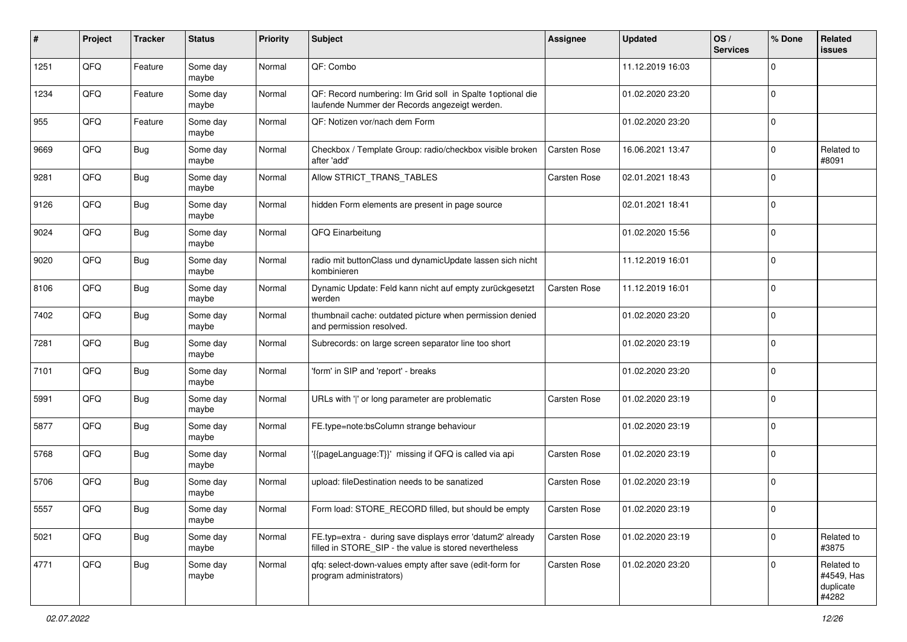| ∦    | Project | <b>Tracker</b> | <b>Status</b>     | <b>Priority</b> | <b>Subject</b>                                                                                                       | <b>Assignee</b>     | <b>Updated</b>   | OS/<br><b>Services</b> | % Done      | Related<br>issues                              |
|------|---------|----------------|-------------------|-----------------|----------------------------------------------------------------------------------------------------------------------|---------------------|------------------|------------------------|-------------|------------------------------------------------|
| 1251 | QFQ     | Feature        | Some day<br>maybe | Normal          | QF: Combo                                                                                                            |                     | 11.12.2019 16:03 |                        | 0           |                                                |
| 1234 | QFQ     | Feature        | Some day<br>maybe | Normal          | QF: Record numbering: Im Grid soll in Spalte 1optional die<br>laufende Nummer der Records angezeigt werden.          |                     | 01.02.2020 23:20 |                        | 0           |                                                |
| 955  | QFQ     | Feature        | Some day<br>maybe | Normal          | QF: Notizen vor/nach dem Form                                                                                        |                     | 01.02.2020 23:20 |                        | $\Omega$    |                                                |
| 9669 | QFQ     | <b>Bug</b>     | Some day<br>maybe | Normal          | Checkbox / Template Group: radio/checkbox visible broken<br>after 'add'                                              | Carsten Rose        | 16.06.2021 13:47 |                        | 0           | Related to<br>#8091                            |
| 9281 | QFQ     | Bug            | Some day<br>maybe | Normal          | Allow STRICT_TRANS_TABLES                                                                                            | <b>Carsten Rose</b> | 02.01.2021 18:43 |                        | $\Omega$    |                                                |
| 9126 | QFQ     | <b>Bug</b>     | Some day<br>maybe | Normal          | hidden Form elements are present in page source                                                                      |                     | 02.01.2021 18:41 |                        | 0           |                                                |
| 9024 | QFQ     | <b>Bug</b>     | Some day<br>maybe | Normal          | QFQ Einarbeitung                                                                                                     |                     | 01.02.2020 15:56 |                        | $\Omega$    |                                                |
| 9020 | QFQ     | Bug            | Some day<br>maybe | Normal          | radio mit buttonClass und dynamicUpdate lassen sich nicht<br>kombinieren                                             |                     | 11.12.2019 16:01 |                        | 0           |                                                |
| 8106 | QFQ     | Bug            | Some day<br>maybe | Normal          | Dynamic Update: Feld kann nicht auf empty zurückgesetzt<br>werden                                                    | Carsten Rose        | 11.12.2019 16:01 |                        | $\mathbf 0$ |                                                |
| 7402 | QFQ     | <b>Bug</b>     | Some day<br>maybe | Normal          | thumbnail cache: outdated picture when permission denied<br>and permission resolved.                                 |                     | 01.02.2020 23:20 |                        | $\Omega$    |                                                |
| 7281 | QFQ     | <b>Bug</b>     | Some day<br>maybe | Normal          | Subrecords: on large screen separator line too short                                                                 |                     | 01.02.2020 23:19 |                        | $\Omega$    |                                                |
| 7101 | QFQ     | Bug            | Some day<br>maybe | Normal          | 'form' in SIP and 'report' - breaks                                                                                  |                     | 01.02.2020 23:20 |                        | $\Omega$    |                                                |
| 5991 | QFQ     | <b>Bug</b>     | Some day<br>maybe | Normal          | URLs with ' ' or long parameter are problematic                                                                      | Carsten Rose        | 01.02.2020 23:19 |                        | $\Omega$    |                                                |
| 5877 | QFQ     | Bug            | Some day<br>maybe | Normal          | FE.type=note:bsColumn strange behaviour                                                                              |                     | 01.02.2020 23:19 |                        | $\mathbf 0$ |                                                |
| 5768 | QFQ     | <b>Bug</b>     | Some day<br>maybe | Normal          | '{{pageLanguage:T}}' missing if QFQ is called via api                                                                | <b>Carsten Rose</b> | 01.02.2020 23:19 |                        | 0           |                                                |
| 5706 | QFQ     | <b>Bug</b>     | Some day<br>maybe | Normal          | upload: fileDestination needs to be sanatized                                                                        | Carsten Rose        | 01.02.2020 23:19 |                        | $\mathbf 0$ |                                                |
| 5557 | QFQ     | <b>Bug</b>     | Some day<br>maybe | Normal          | Form load: STORE_RECORD filled, but should be empty                                                                  | <b>Carsten Rose</b> | 01.02.2020 23:19 |                        | $\mathbf 0$ |                                                |
| 5021 | QFQ     | <b>Bug</b>     | Some day<br>maybe | Normal          | FE.typ=extra - during save displays error 'datum2' already<br>filled in STORE_SIP - the value is stored nevertheless | Carsten Rose        | 01.02.2020 23:19 |                        | 0           | Related to<br>#3875                            |
| 4771 | QFG     | <b>Bug</b>     | Some day<br>maybe | Normal          | gfg: select-down-values empty after save (edit-form for<br>program administrators)                                   | Carsten Rose        | 01.02.2020 23:20 |                        | 0           | Related to<br>#4549, Has<br>duplicate<br>#4282 |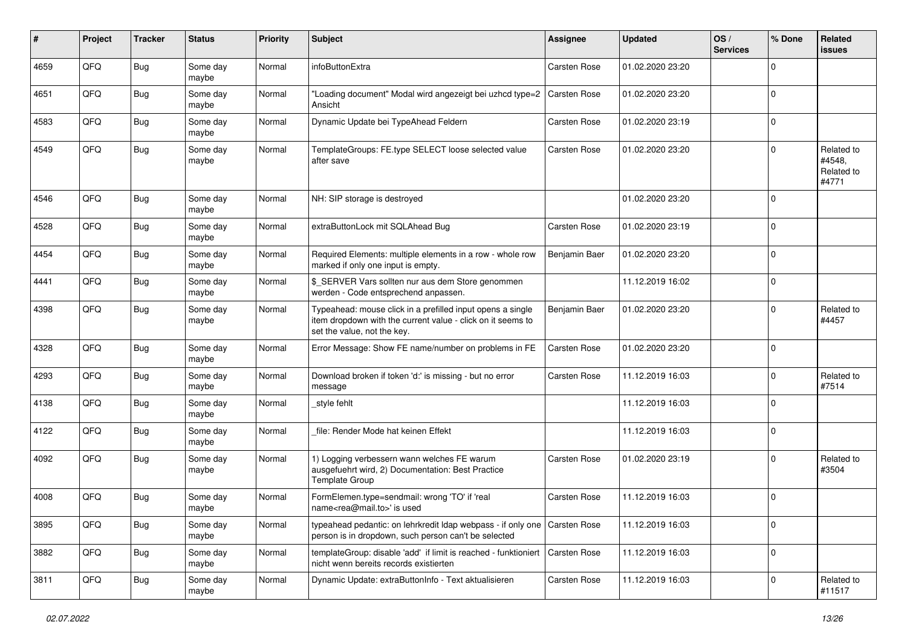| #    | Project | <b>Tracker</b> | <b>Status</b>     | <b>Priority</b> | Subject                                                                                                                                                  | <b>Assignee</b>     | <b>Updated</b>   | OS/<br><b>Services</b> | % Done      | Related<br><b>issues</b>                    |
|------|---------|----------------|-------------------|-----------------|----------------------------------------------------------------------------------------------------------------------------------------------------------|---------------------|------------------|------------------------|-------------|---------------------------------------------|
| 4659 | QFQ     | Bug            | Some day<br>maybe | Normal          | infoButtonExtra                                                                                                                                          | Carsten Rose        | 01.02.2020 23:20 |                        | $\mathbf 0$ |                                             |
| 4651 | QFQ     | Bug            | Some day<br>maybe | Normal          | 'Loading document" Modal wird angezeigt bei uzhcd type=2<br>Ansicht                                                                                      | <b>Carsten Rose</b> | 01.02.2020 23:20 |                        | $\mathbf 0$ |                                             |
| 4583 | QFQ     | Bug            | Some day<br>maybe | Normal          | Dynamic Update bei TypeAhead Feldern                                                                                                                     | Carsten Rose        | 01.02.2020 23:19 |                        | $\mathbf 0$ |                                             |
| 4549 | QFQ     | Bug            | Some day<br>maybe | Normal          | TemplateGroups: FE.type SELECT loose selected value<br>after save                                                                                        | Carsten Rose        | 01.02.2020 23:20 |                        | $\mathbf 0$ | Related to<br>#4548.<br>Related to<br>#4771 |
| 4546 | QFQ     | Bug            | Some day<br>maybe | Normal          | NH: SIP storage is destroyed                                                                                                                             |                     | 01.02.2020 23:20 |                        | $\mathbf 0$ |                                             |
| 4528 | QFQ     | Bug            | Some day<br>maybe | Normal          | extraButtonLock mit SQLAhead Bug                                                                                                                         | Carsten Rose        | 01.02.2020 23:19 |                        | $\mathbf 0$ |                                             |
| 4454 | QFQ     | <b>Bug</b>     | Some day<br>maybe | Normal          | Required Elements: multiple elements in a row - whole row<br>marked if only one input is empty.                                                          | Benjamin Baer       | 01.02.2020 23:20 |                        | $\mathbf 0$ |                                             |
| 4441 | QFQ     | Bug            | Some day<br>maybe | Normal          | \$ SERVER Vars sollten nur aus dem Store genommen<br>werden - Code entsprechend anpassen.                                                                |                     | 11.12.2019 16:02 |                        | $\mathbf 0$ |                                             |
| 4398 | QFQ     | <b>Bug</b>     | Some day<br>maybe | Normal          | Typeahead: mouse click in a prefilled input opens a single<br>item dropdown with the current value - click on it seems to<br>set the value, not the key. | Benjamin Baer       | 01.02.2020 23:20 |                        | $\mathbf 0$ | Related to<br>#4457                         |
| 4328 | QFQ     | <b>Bug</b>     | Some day<br>maybe | Normal          | Error Message: Show FE name/number on problems in FE                                                                                                     | Carsten Rose        | 01.02.2020 23:20 |                        | $\mathbf 0$ |                                             |
| 4293 | QFQ     | Bug            | Some day<br>maybe | Normal          | Download broken if token 'd:' is missing - but no error<br>message                                                                                       | Carsten Rose        | 11.12.2019 16:03 |                        | $\mathbf 0$ | Related to<br>#7514                         |
| 4138 | QFQ     | Bug            | Some day<br>maybe | Normal          | _style fehlt                                                                                                                                             |                     | 11.12.2019 16:03 |                        | $\mathbf 0$ |                                             |
| 4122 | QFQ     | Bug            | Some day<br>maybe | Normal          | file: Render Mode hat keinen Effekt                                                                                                                      |                     | 11.12.2019 16:03 |                        | $\mathbf 0$ |                                             |
| 4092 | QFQ     | Bug            | Some day<br>maybe | Normal          | 1) Logging verbessern wann welches FE warum<br>ausgefuehrt wird, 2) Documentation: Best Practice<br>Template Group                                       | Carsten Rose        | 01.02.2020 23:19 |                        | $\mathbf 0$ | Related to<br>#3504                         |
| 4008 | QFQ     | <b>Bug</b>     | Some day<br>maybe | Normal          | FormElemen.type=sendmail: wrong 'TO' if 'real<br>name <rea@mail.to>' is used</rea@mail.to>                                                               | <b>Carsten Rose</b> | 11.12.2019 16:03 |                        | $\mathbf 0$ |                                             |
| 3895 | QFQ     | Bug            | Some day<br>maybe | Normal          | typeahead pedantic: on lehrkredit Idap webpass - if only one   Carsten Rose<br>person is in dropdown, such person can't be selected                      |                     | 11.12.2019 16:03 |                        | $\mathbf 0$ |                                             |
| 3882 | QFQ     | Bug            | Some day<br>maybe | Normal          | templateGroup: disable 'add' if limit is reached - funktioniert<br>nicht wenn bereits records existierten                                                | Carsten Rose        | 11.12.2019 16:03 |                        | $\mathbf 0$ |                                             |
| 3811 | QFQ     | <b>Bug</b>     | Some day<br>maybe | Normal          | Dynamic Update: extraButtonInfo - Text aktualisieren                                                                                                     | Carsten Rose        | 11.12.2019 16:03 |                        | $\mathbf 0$ | Related to<br>#11517                        |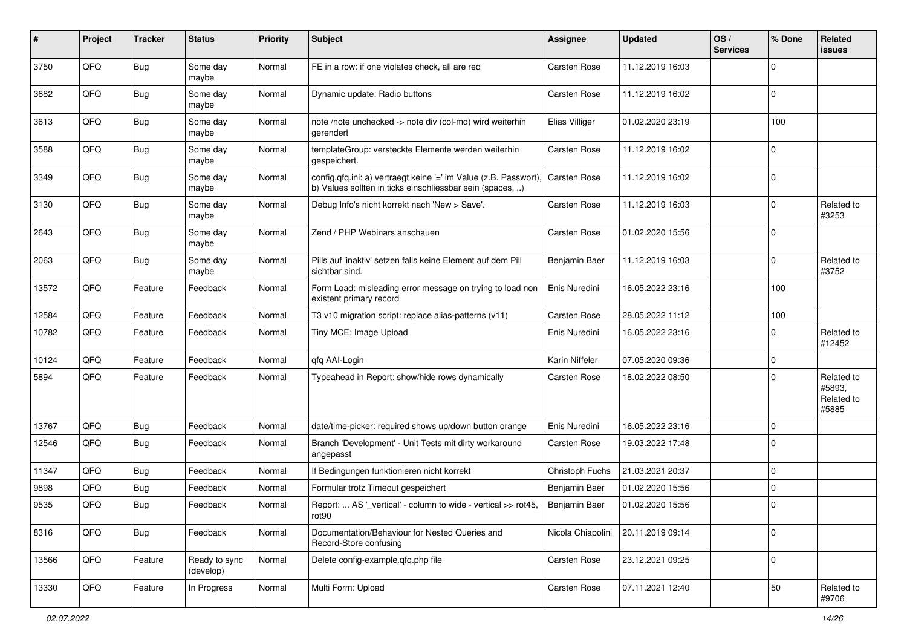| #     | Project | <b>Tracker</b> | <b>Status</b>              | <b>Priority</b> | <b>Subject</b>                                                                                                               | <b>Assignee</b>     | <b>Updated</b>   | OS/<br><b>Services</b> | % Done      | Related<br><b>issues</b>                    |
|-------|---------|----------------|----------------------------|-----------------|------------------------------------------------------------------------------------------------------------------------------|---------------------|------------------|------------------------|-------------|---------------------------------------------|
| 3750  | QFQ     | Bug            | Some day<br>maybe          | Normal          | FE in a row: if one violates check, all are red                                                                              | Carsten Rose        | 11.12.2019 16:03 |                        | $\Omega$    |                                             |
| 3682  | QFQ     | <b>Bug</b>     | Some day<br>maybe          | Normal          | Dynamic update: Radio buttons                                                                                                | Carsten Rose        | 11.12.2019 16:02 |                        | $\mathbf 0$ |                                             |
| 3613  | QFQ     | <b>Bug</b>     | Some day<br>maybe          | Normal          | note /note unchecked -> note div (col-md) wird weiterhin<br>gerendert                                                        | Elias Villiger      | 01.02.2020 23:19 |                        | 100         |                                             |
| 3588  | QFQ     | Bug            | Some day<br>maybe          | Normal          | templateGroup: versteckte Elemente werden weiterhin<br>gespeichert.                                                          | <b>Carsten Rose</b> | 11.12.2019 16:02 |                        | $\mathbf 0$ |                                             |
| 3349  | QFQ     | <b>Bug</b>     | Some day<br>maybe          | Normal          | config.qfq.ini: a) vertraegt keine '=' im Value (z.B. Passwort)<br>b) Values sollten in ticks einschliessbar sein (spaces, ) | <b>Carsten Rose</b> | 11.12.2019 16:02 |                        | $\mathbf 0$ |                                             |
| 3130  | QFQ     | <b>Bug</b>     | Some day<br>maybe          | Normal          | Debug Info's nicht korrekt nach 'New > Save'.                                                                                | Carsten Rose        | 11.12.2019 16:03 |                        | $\mathbf 0$ | Related to<br>#3253                         |
| 2643  | QFQ     | <b>Bug</b>     | Some day<br>maybe          | Normal          | Zend / PHP Webinars anschauen                                                                                                | Carsten Rose        | 01.02.2020 15:56 |                        | $\mathbf 0$ |                                             |
| 2063  | QFQ     | <b>Bug</b>     | Some day<br>maybe          | Normal          | Pills auf 'inaktiv' setzen falls keine Element auf dem Pill<br>sichtbar sind.                                                | Benjamin Baer       | 11.12.2019 16:03 |                        | $\mathbf 0$ | Related to<br>#3752                         |
| 13572 | QFQ     | Feature        | Feedback                   | Normal          | Form Load: misleading error message on trying to load non<br>existent primary record                                         | Enis Nuredini       | 16.05.2022 23:16 |                        | 100         |                                             |
| 12584 | QFQ     | Feature        | Feedback                   | Normal          | T3 v10 migration script: replace alias-patterns (v11)                                                                        | Carsten Rose        | 28.05.2022 11:12 |                        | 100         |                                             |
| 10782 | QFQ     | Feature        | Feedback                   | Normal          | Tiny MCE: Image Upload                                                                                                       | Enis Nuredini       | 16.05.2022 23:16 |                        | $\mathbf 0$ | Related to<br>#12452                        |
| 10124 | QFQ     | Feature        | Feedback                   | Normal          | qfq AAI-Login                                                                                                                | Karin Niffeler      | 07.05.2020 09:36 |                        | $\pmb{0}$   |                                             |
| 5894  | QFQ     | Feature        | Feedback                   | Normal          | Typeahead in Report: show/hide rows dynamically                                                                              | Carsten Rose        | 18.02.2022 08:50 |                        | $\Omega$    | Related to<br>#5893,<br>Related to<br>#5885 |
| 13767 | QFQ     | Bug            | Feedback                   | Normal          | date/time-picker: required shows up/down button orange                                                                       | Enis Nuredini       | 16.05.2022 23:16 |                        | $\mathbf 0$ |                                             |
| 12546 | QFQ     | Bug            | Feedback                   | Normal          | Branch 'Development' - Unit Tests mit dirty workaround<br>angepasst                                                          | Carsten Rose        | 19.03.2022 17:48 |                        | $\mathbf 0$ |                                             |
| 11347 | QFQ     | <b>Bug</b>     | Feedback                   | Normal          | If Bedingungen funktionieren nicht korrekt                                                                                   | Christoph Fuchs     | 21.03.2021 20:37 |                        | $\mathbf 0$ |                                             |
| 9898  | QFQ     | Bug            | Feedback                   | Normal          | Formular trotz Timeout gespeichert                                                                                           | Benjamin Baer       | 01.02.2020 15:56 |                        | $\pmb{0}$   |                                             |
| 9535  | QFQ     | Bug            | Feedback                   | Normal          | Report:  AS '_vertical' - column to wide - vertical >> rot45,<br>rotyu                                                       | Benjamin Baer       | 01.02.2020 15:56 |                        | $\pmb{0}$   |                                             |
| 8316  | QFO     | <b>Bug</b>     | Feedback                   | Normal          | Documentation/Behaviour for Nested Queries and<br>Record-Store confusing                                                     | Nicola Chiapolini   | 20.11.2019 09:14 |                        | $\mathbf 0$ |                                             |
| 13566 | QFQ     | Feature        | Ready to sync<br>(develop) | Normal          | Delete config-example.qfq.php file                                                                                           | Carsten Rose        | 23.12.2021 09:25 |                        | $\mathbf 0$ |                                             |
| 13330 | QFO     | Feature        | In Progress                | Normal          | Multi Form: Upload                                                                                                           | Carsten Rose        | 07.11.2021 12:40 |                        | 50          | Related to<br>#9706                         |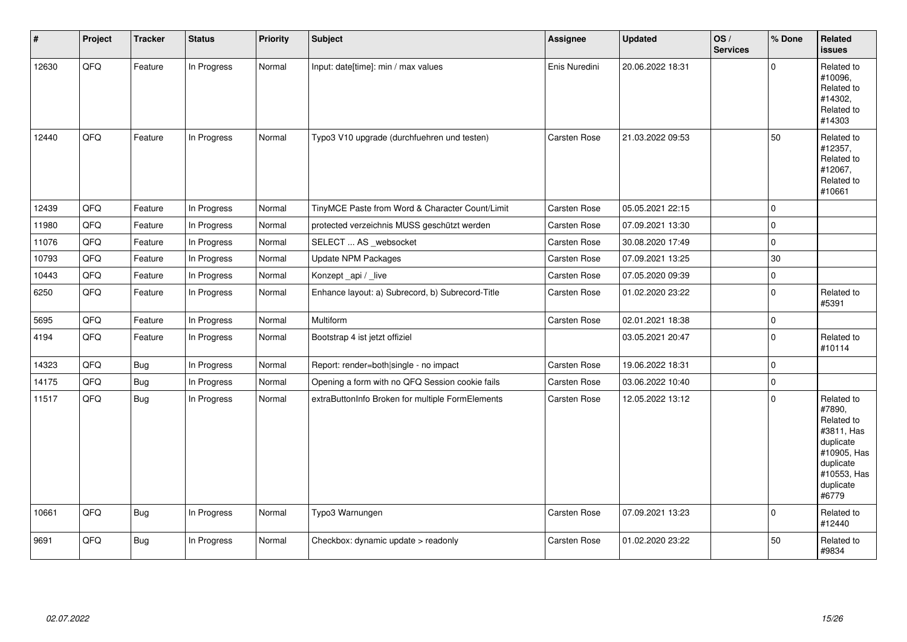| #     | Project | <b>Tracker</b> | <b>Status</b> | <b>Priority</b> | Subject                                          | <b>Assignee</b>     | <b>Updated</b>   | OS/<br><b>Services</b> | % Done      | Related<br>issues                                                                                                              |
|-------|---------|----------------|---------------|-----------------|--------------------------------------------------|---------------------|------------------|------------------------|-------------|--------------------------------------------------------------------------------------------------------------------------------|
| 12630 | QFQ     | Feature        | In Progress   | Normal          | Input: date[time]: min / max values              | Enis Nuredini       | 20.06.2022 18:31 |                        | 0           | Related to<br>#10096,<br>Related to<br>#14302,<br>Related to<br>#14303                                                         |
| 12440 | QFQ     | Feature        | In Progress   | Normal          | Typo3 V10 upgrade (durchfuehren und testen)      | Carsten Rose        | 21.03.2022 09:53 |                        | 50          | Related to<br>#12357,<br>Related to<br>#12067,<br>Related to<br>#10661                                                         |
| 12439 | QFQ     | Feature        | In Progress   | Normal          | TinyMCE Paste from Word & Character Count/Limit  | Carsten Rose        | 05.05.2021 22:15 |                        | $\mathbf 0$ |                                                                                                                                |
| 11980 | QFQ     | Feature        | In Progress   | Normal          | protected verzeichnis MUSS geschützt werden      | Carsten Rose        | 07.09.2021 13:30 |                        | $\mathbf 0$ |                                                                                                                                |
| 11076 | QFQ     | Feature        | In Progress   | Normal          | SELECT  AS _websocket                            | Carsten Rose        | 30.08.2020 17:49 |                        | $\pmb{0}$   |                                                                                                                                |
| 10793 | QFQ     | Feature        | In Progress   | Normal          | <b>Update NPM Packages</b>                       | Carsten Rose        | 07.09.2021 13:25 |                        | $30\,$      |                                                                                                                                |
| 10443 | QFQ     | Feature        | In Progress   | Normal          | Konzept_api / _live                              | <b>Carsten Rose</b> | 07.05.2020 09:39 |                        | 0           |                                                                                                                                |
| 6250  | QFQ     | Feature        | In Progress   | Normal          | Enhance layout: a) Subrecord, b) Subrecord-Title | Carsten Rose        | 01.02.2020 23:22 |                        | $\pmb{0}$   | Related to<br>#5391                                                                                                            |
| 5695  | QFQ     | Feature        | In Progress   | Normal          | Multiform                                        | Carsten Rose        | 02.01.2021 18:38 |                        | $\pmb{0}$   |                                                                                                                                |
| 4194  | QFQ     | Feature        | In Progress   | Normal          | Bootstrap 4 ist jetzt offiziel                   |                     | 03.05.2021 20:47 |                        | 0           | Related to<br>#10114                                                                                                           |
| 14323 | QFQ     | <b>Bug</b>     | In Progress   | Normal          | Report: render=both single - no impact           | Carsten Rose        | 19.06.2022 18:31 |                        | 0           |                                                                                                                                |
| 14175 | QFQ     | <b>Bug</b>     | In Progress   | Normal          | Opening a form with no QFQ Session cookie fails  | Carsten Rose        | 03.06.2022 10:40 |                        | $\pmb{0}$   |                                                                                                                                |
| 11517 | QFQ     | Bug            | In Progress   | Normal          | extraButtonInfo Broken for multiple FormElements | Carsten Rose        | 12.05.2022 13:12 |                        | 0           | Related to<br>#7890,<br>Related to<br>#3811, Has<br>duplicate<br>#10905, Has<br>duplicate<br>#10553, Has<br>duplicate<br>#6779 |
| 10661 | QFQ     | Bug            | In Progress   | Normal          | Typo3 Warnungen                                  | Carsten Rose        | 07.09.2021 13:23 |                        | 0           | Related to<br>#12440                                                                                                           |
| 9691  | QFQ     | <b>Bug</b>     | In Progress   | Normal          | Checkbox: dynamic update > readonly              | Carsten Rose        | 01.02.2020 23:22 |                        | 50          | Related to<br>#9834                                                                                                            |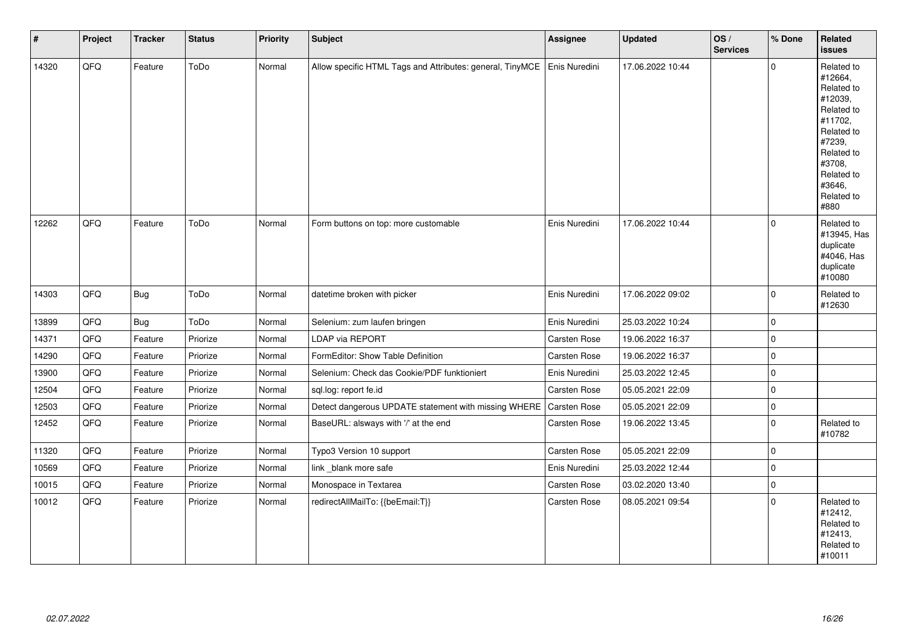| $\vert$ # | Project | <b>Tracker</b> | <b>Status</b> | <b>Priority</b> | <b>Subject</b>                                            | Assignee            | <b>Updated</b>   | OS/<br><b>Services</b> | % Done      | Related<br><b>issues</b>                                                                                                                                              |
|-----------|---------|----------------|---------------|-----------------|-----------------------------------------------------------|---------------------|------------------|------------------------|-------------|-----------------------------------------------------------------------------------------------------------------------------------------------------------------------|
| 14320     | QFQ     | Feature        | ToDo          | Normal          | Allow specific HTML Tags and Attributes: general, TinyMCE | Enis Nuredini       | 17.06.2022 10:44 |                        | $\Omega$    | Related to<br>#12664,<br>Related to<br>#12039,<br>Related to<br>#11702,<br>Related to<br>#7239,<br>Related to<br>#3708,<br>Related to<br>#3646,<br>Related to<br>#880 |
| 12262     | QFQ     | Feature        | ToDo          | Normal          | Form buttons on top: more customable                      | Enis Nuredini       | 17.06.2022 10:44 |                        | $\Omega$    | Related to<br>#13945, Has<br>duplicate<br>#4046, Has<br>duplicate<br>#10080                                                                                           |
| 14303     | QFQ     | <b>Bug</b>     | ToDo          | Normal          | datetime broken with picker                               | Enis Nuredini       | 17.06.2022 09:02 |                        | $\Omega$    | Related to<br>#12630                                                                                                                                                  |
| 13899     | QFQ     | Bug            | ToDo          | Normal          | Selenium: zum laufen bringen                              | Enis Nuredini       | 25.03.2022 10:24 |                        | $\mathbf 0$ |                                                                                                                                                                       |
| 14371     | QFQ     | Feature        | Priorize      | Normal          | LDAP via REPORT                                           | Carsten Rose        | 19.06.2022 16:37 |                        | $\mathsf 0$ |                                                                                                                                                                       |
| 14290     | QFQ     | Feature        | Priorize      | Normal          | FormEditor: Show Table Definition                         | <b>Carsten Rose</b> | 19.06.2022 16:37 |                        | l 0         |                                                                                                                                                                       |
| 13900     | QFQ     | Feature        | Priorize      | Normal          | Selenium: Check das Cookie/PDF funktioniert               | Enis Nuredini       | 25.03.2022 12:45 |                        | $\pmb{0}$   |                                                                                                                                                                       |
| 12504     | QFO     | Feature        | Priorize      | Normal          | sql.log: report fe.id                                     | Carsten Rose        | 05.05.2021 22:09 |                        | $\pmb{0}$   |                                                                                                                                                                       |
| 12503     | QFQ     | Feature        | Priorize      | Normal          | Detect dangerous UPDATE statement with missing WHERE      | Carsten Rose        | 05.05.2021 22:09 |                        | $\pmb{0}$   |                                                                                                                                                                       |
| 12452     | QFQ     | Feature        | Priorize      | Normal          | BaseURL: alsways with '/' at the end                      | Carsten Rose        | 19.06.2022 13:45 |                        | $\mathbf 0$ | Related to<br>#10782                                                                                                                                                  |
| 11320     | QFQ     | Feature        | Priorize      | Normal          | Typo3 Version 10 support                                  | Carsten Rose        | 05.05.2021 22:09 |                        | $\mathbf 0$ |                                                                                                                                                                       |
| 10569     | QFQ     | Feature        | Priorize      | Normal          | link _blank more safe                                     | Enis Nuredini       | 25.03.2022 12:44 |                        | $\Omega$    |                                                                                                                                                                       |
| 10015     | QFG     | Feature        | Priorize      | Normal          | Monospace in Textarea                                     | Carsten Rose        | 03.02.2020 13:40 |                        | $\mathbf 0$ |                                                                                                                                                                       |
| 10012     | QFQ     | Feature        | Priorize      | Normal          | redirectAllMailTo: {{beEmail:T}}                          | <b>Carsten Rose</b> | 08.05.2021 09:54 |                        | $\Omega$    | Related to<br>#12412,<br>Related to<br>#12413,<br>Related to<br>#10011                                                                                                |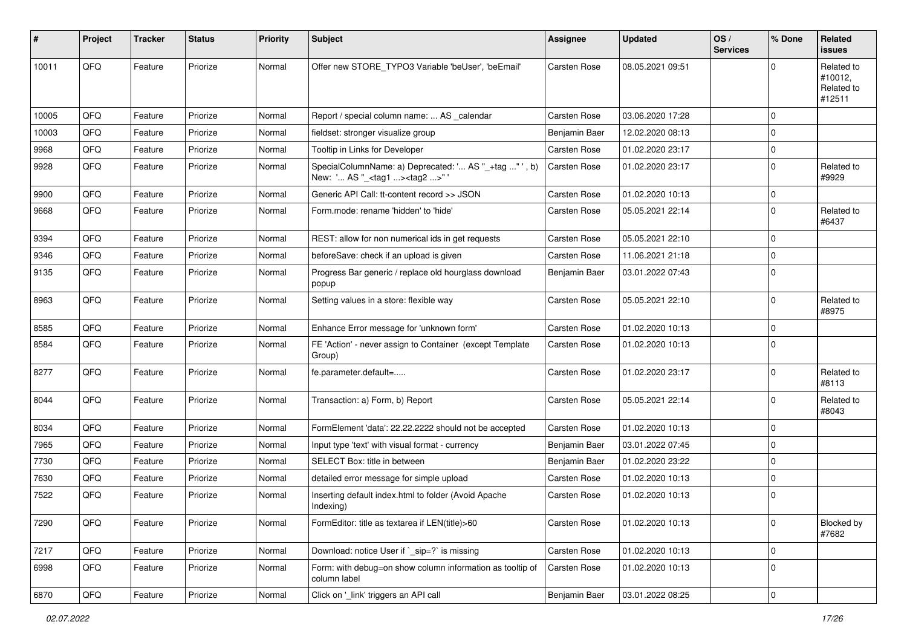| #     | <b>Project</b> | <b>Tracker</b> | <b>Status</b> | <b>Priority</b> | Subject                                                                                           | Assignee            | <b>Updated</b>   | OS/<br><b>Services</b> | % Done      | Related<br><b>issues</b>                      |
|-------|----------------|----------------|---------------|-----------------|---------------------------------------------------------------------------------------------------|---------------------|------------------|------------------------|-------------|-----------------------------------------------|
| 10011 | QFQ            | Feature        | Priorize      | Normal          | Offer new STORE_TYPO3 Variable 'beUser', 'beEmail'                                                | <b>Carsten Rose</b> | 08.05.2021 09:51 |                        | $\Omega$    | Related to<br>#10012,<br>Related to<br>#12511 |
| 10005 | QFQ            | Feature        | Priorize      | Normal          | Report / special column name:  AS calendar                                                        | <b>Carsten Rose</b> | 03.06.2020 17:28 |                        | $\Omega$    |                                               |
| 10003 | QFQ            | Feature        | Priorize      | Normal          | fieldset: stronger visualize group                                                                | Benjamin Baer       | 12.02.2020 08:13 |                        | $\mathbf 0$ |                                               |
| 9968  | QFQ            | Feature        | Priorize      | Normal          | Tooltip in Links for Developer                                                                    | <b>Carsten Rose</b> | 01.02.2020 23:17 |                        | $\mathbf 0$ |                                               |
| 9928  | QFQ            | Feature        | Priorize      | Normal          | SpecialColumnName: a) Deprecated: ' AS "_+tag " ', b)<br>New: ' AS "_ <tag1><tag2>"</tag2></tag1> | Carsten Rose        | 01.02.2020 23:17 |                        | $\mathbf 0$ | Related to<br>#9929                           |
| 9900  | QFQ            | Feature        | Priorize      | Normal          | Generic API Call: tt-content record >> JSON                                                       | <b>Carsten Rose</b> | 01.02.2020 10:13 |                        | $\mathbf 0$ |                                               |
| 9668  | QFQ            | Feature        | Priorize      | Normal          | Form.mode: rename 'hidden' to 'hide'                                                              | <b>Carsten Rose</b> | 05.05.2021 22:14 |                        | $\mathbf 0$ | Related to<br>#6437                           |
| 9394  | QFQ            | Feature        | Priorize      | Normal          | REST: allow for non numerical ids in get requests                                                 | <b>Carsten Rose</b> | 05.05.2021 22:10 |                        | $\mathbf 0$ |                                               |
| 9346  | QFQ            | Feature        | Priorize      | Normal          | beforeSave: check if an upload is given                                                           | <b>Carsten Rose</b> | 11.06.2021 21:18 |                        | $\mathbf 0$ |                                               |
| 9135  | QFQ            | Feature        | Priorize      | Normal          | Progress Bar generic / replace old hourglass download<br>popup                                    | Benjamin Baer       | 03.01.2022 07:43 |                        | $\mathbf 0$ |                                               |
| 8963  | QFQ            | Feature        | Priorize      | Normal          | Setting values in a store: flexible way                                                           | <b>Carsten Rose</b> | 05.05.2021 22:10 |                        | $\mathbf 0$ | Related to<br>#8975                           |
| 8585  | QFQ            | Feature        | Priorize      | Normal          | Enhance Error message for 'unknown form'                                                          | <b>Carsten Rose</b> | 01.02.2020 10:13 |                        | $\Omega$    |                                               |
| 8584  | QFQ            | Feature        | Priorize      | Normal          | FE 'Action' - never assign to Container (except Template<br>Group)                                | <b>Carsten Rose</b> | 01.02.2020 10:13 |                        | $\mathbf 0$ |                                               |
| 8277  | QFQ            | Feature        | Priorize      | Normal          | fe.parameter.default=                                                                             | Carsten Rose        | 01.02.2020 23:17 |                        | $\Omega$    | Related to<br>#8113                           |
| 8044  | QFQ            | Feature        | Priorize      | Normal          | Transaction: a) Form, b) Report                                                                   | <b>Carsten Rose</b> | 05.05.2021 22:14 |                        | $\mathbf 0$ | Related to<br>#8043                           |
| 8034  | QFQ            | Feature        | Priorize      | Normal          | FormElement 'data': 22.22.2222 should not be accepted                                             | <b>Carsten Rose</b> | 01.02.2020 10:13 |                        | $\mathbf 0$ |                                               |
| 7965  | QFQ            | Feature        | Priorize      | Normal          | Input type 'text' with visual format - currency                                                   | Benjamin Baer       | 03.01.2022 07:45 |                        | $\mathbf 0$ |                                               |
| 7730  | QFQ            | Feature        | Priorize      | Normal          | SELECT Box: title in between                                                                      | Benjamin Baer       | 01.02.2020 23:22 |                        | $\mathbf 0$ |                                               |
| 7630  | QFQ            | Feature        | Priorize      | Normal          | detailed error message for simple upload                                                          | <b>Carsten Rose</b> | 01.02.2020 10:13 |                        | 0           |                                               |
| 7522  | QFQ            | Feature        | Priorize      | Normal          | Inserting default index.html to folder (Avoid Apache<br>Indexing)                                 | <b>Carsten Rose</b> | 01.02.2020 10:13 |                        | $\mathbf 0$ |                                               |
| 7290  | QFQ            | Feature        | Priorize      | Normal          | FormEditor: title as textarea if LEN(title)>60                                                    | Carsten Rose        | 01.02.2020 10:13 |                        | 0           | Blocked by<br>#7682                           |
| 7217  | QFQ            | Feature        | Priorize      | Normal          | Download: notice User if `_sip=?` is missing                                                      | <b>Carsten Rose</b> | 01.02.2020 10:13 |                        | $\mathbf 0$ |                                               |
| 6998  | QFQ            | Feature        | Priorize      | Normal          | Form: with debug=on show column information as tooltip of<br>column label                         | Carsten Rose        | 01.02.2020 10:13 |                        | 0           |                                               |
| 6870  | QFQ            | Feature        | Priorize      | Normal          | Click on '_link' triggers an API call                                                             | Benjamin Baer       | 03.01.2022 08:25 |                        | $\pmb{0}$   |                                               |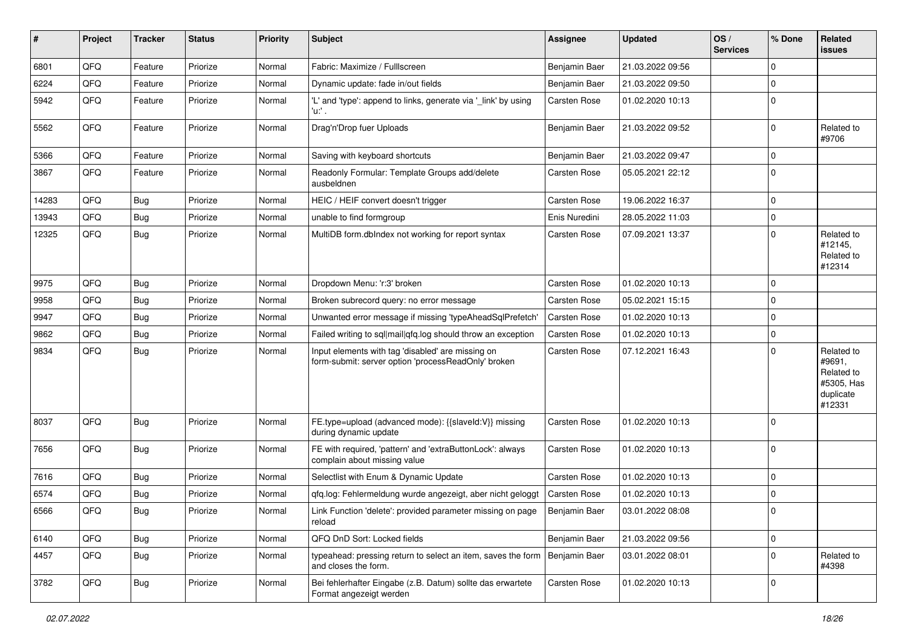| #     | Project | <b>Tracker</b> | <b>Status</b> | <b>Priority</b> | Subject                                                                                                  | <b>Assignee</b>     | <b>Updated</b>   | OS/<br><b>Services</b> | % Done      | Related<br><b>issues</b>                                                |
|-------|---------|----------------|---------------|-----------------|----------------------------------------------------------------------------------------------------------|---------------------|------------------|------------------------|-------------|-------------------------------------------------------------------------|
| 6801  | QFQ     | Feature        | Priorize      | Normal          | Fabric: Maximize / Fulllscreen                                                                           | Benjamin Baer       | 21.03.2022 09:56 |                        | $\Omega$    |                                                                         |
| 6224  | QFQ     | Feature        | Priorize      | Normal          | Dynamic update: fade in/out fields                                                                       | Benjamin Baer       | 21.03.2022 09:50 |                        | $\Omega$    |                                                                         |
| 5942  | QFQ     | Feature        | Priorize      | Normal          | 'L' and 'type': append to links, generate via '_link' by using<br>'u.' .                                 | Carsten Rose        | 01.02.2020 10:13 |                        | $\Omega$    |                                                                         |
| 5562  | QFQ     | Feature        | Priorize      | Normal          | Drag'n'Drop fuer Uploads                                                                                 | Benjamin Baer       | 21.03.2022 09:52 |                        | $\Omega$    | Related to<br>#9706                                                     |
| 5366  | QFQ     | Feature        | Priorize      | Normal          | Saving with keyboard shortcuts                                                                           | Benjamin Baer       | 21.03.2022 09:47 |                        | $\mathbf 0$ |                                                                         |
| 3867  | QFQ     | Feature        | Priorize      | Normal          | Readonly Formular: Template Groups add/delete<br>ausbeldnen                                              | Carsten Rose        | 05.05.2021 22:12 |                        | $\Omega$    |                                                                         |
| 14283 | QFQ     | Bug            | Priorize      | Normal          | HEIC / HEIF convert doesn't trigger                                                                      | Carsten Rose        | 19.06.2022 16:37 |                        | $\mathbf 0$ |                                                                         |
| 13943 | QFQ     | <b>Bug</b>     | Priorize      | Normal          | unable to find formgroup                                                                                 | Enis Nuredini       | 28.05.2022 11:03 |                        | $\Omega$    |                                                                         |
| 12325 | QFQ     | <b>Bug</b>     | Priorize      | Normal          | MultiDB form.dblndex not working for report syntax                                                       | Carsten Rose        | 07.09.2021 13:37 |                        | $\Omega$    | Related to<br>#12145,<br>Related to<br>#12314                           |
| 9975  | QFQ     | Bug            | Priorize      | Normal          | Dropdown Menu: 'r:3' broken                                                                              | Carsten Rose        | 01.02.2020 10:13 |                        | $\Omega$    |                                                                         |
| 9958  | QFQ     | Bug            | Priorize      | Normal          | Broken subrecord query: no error message                                                                 | Carsten Rose        | 05.02.2021 15:15 |                        | $\Omega$    |                                                                         |
| 9947  | QFQ     | Bug            | Priorize      | Normal          | Unwanted error message if missing 'typeAheadSqlPrefetch'                                                 | <b>Carsten Rose</b> | 01.02.2020 10:13 |                        | $\Omega$    |                                                                         |
| 9862  | QFQ     | <b>Bug</b>     | Priorize      | Normal          | Failed writing to sql mail qfq.log should throw an exception                                             | Carsten Rose        | 01.02.2020 10:13 |                        | $\Omega$    |                                                                         |
| 9834  | QFQ     | Bug            | Priorize      | Normal          | Input elements with tag 'disabled' are missing on<br>form-submit: server option 'processReadOnly' broken | Carsten Rose        | 07.12.2021 16:43 |                        | $\Omega$    | Related to<br>#9691,<br>Related to<br>#5305, Has<br>duplicate<br>#12331 |
| 8037  | QFQ     | Bug            | Priorize      | Normal          | FE.type=upload (advanced mode): {{slaveId:V}} missing<br>during dynamic update                           | <b>Carsten Rose</b> | 01.02.2020 10:13 |                        | $\Omega$    |                                                                         |
| 7656  | QFQ     | <b>Bug</b>     | Priorize      | Normal          | FE with required, 'pattern' and 'extraButtonLock': always<br>complain about missing value                | <b>Carsten Rose</b> | 01.02.2020 10:13 |                        | $\Omega$    |                                                                         |
| 7616  | QFQ     | Bug            | Priorize      | Normal          | Selectlist with Enum & Dynamic Update                                                                    | <b>Carsten Rose</b> | 01.02.2020 10:13 |                        | $\Omega$    |                                                                         |
| 6574  | QFQ     | <b>Bug</b>     | Priorize      | Normal          | qfq.log: Fehlermeldung wurde angezeigt, aber nicht geloggt                                               | <b>Carsten Rose</b> | 01.02.2020 10:13 |                        | $\Omega$    |                                                                         |
| 6566  | QFQ     | Bug            | Priorize      | Normal          | Link Function 'delete': provided parameter missing on page<br>reload                                     | Benjamin Baer       | 03.01.2022 08:08 |                        | 0           |                                                                         |
| 6140  | QFQ     | Bug            | Priorize      | Normal          | QFQ DnD Sort: Locked fields                                                                              | Benjamin Baer       | 21.03.2022 09:56 |                        | $\Omega$    |                                                                         |
| 4457  | QFQ     | Bug            | Priorize      | Normal          | typeahead: pressing return to select an item, saves the form<br>and closes the form.                     | Benjamin Baer       | 03.01.2022 08:01 |                        | $\mathbf 0$ | Related to<br>#4398                                                     |
| 3782  | QFQ     | Bug            | Priorize      | Normal          | Bei fehlerhafter Eingabe (z.B. Datum) sollte das erwartete<br>Format angezeigt werden                    | Carsten Rose        | 01.02.2020 10:13 |                        | $\Omega$    |                                                                         |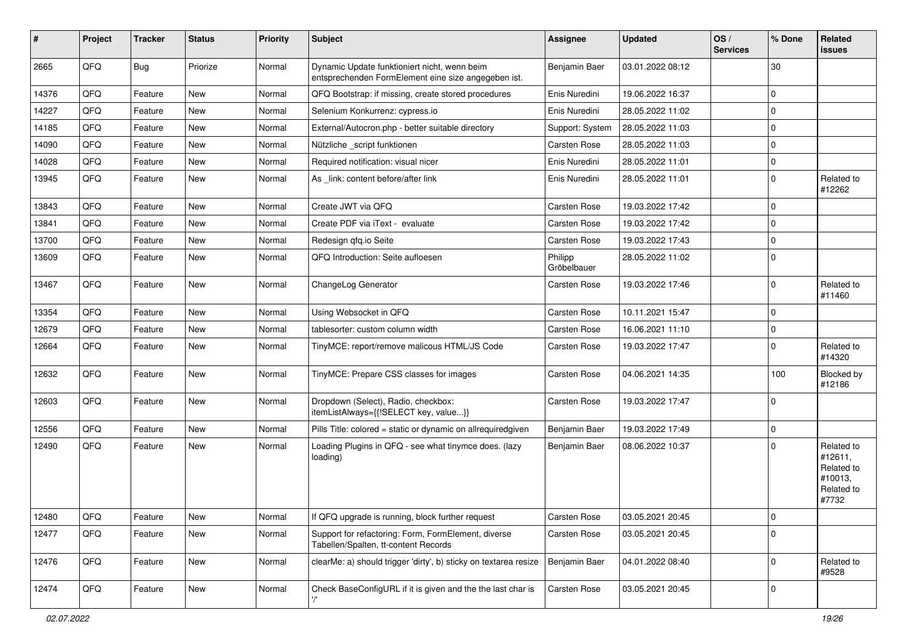| #     | Project | <b>Tracker</b> | <b>Status</b> | Priority | Subject                                                                                             | <b>Assignee</b>        | <b>Updated</b>   | OS/<br><b>Services</b> | % Done      | Related<br><b>issues</b>                                              |
|-------|---------|----------------|---------------|----------|-----------------------------------------------------------------------------------------------------|------------------------|------------------|------------------------|-------------|-----------------------------------------------------------------------|
| 2665  | QFQ     | Bug            | Priorize      | Normal   | Dynamic Update funktioniert nicht, wenn beim<br>entsprechenden FormElement eine size angegeben ist. | Benjamin Baer          | 03.01.2022 08:12 |                        | 30          |                                                                       |
| 14376 | QFQ     | Feature        | <b>New</b>    | Normal   | QFQ Bootstrap: if missing, create stored procedures                                                 | Enis Nuredini          | 19.06.2022 16:37 |                        | $\mathbf 0$ |                                                                       |
| 14227 | QFQ     | Feature        | <b>New</b>    | Normal   | Selenium Konkurrenz: cypress.io                                                                     | Enis Nuredini          | 28.05.2022 11:02 |                        | 0           |                                                                       |
| 14185 | QFQ     | Feature        | <b>New</b>    | Normal   | External/Autocron.php - better suitable directory                                                   | Support: System        | 28.05.2022 11:03 |                        | $\pmb{0}$   |                                                                       |
| 14090 | QFQ     | Feature        | <b>New</b>    | Normal   | Nützliche _script funktionen                                                                        | Carsten Rose           | 28.05.2022 11:03 |                        | $\mathbf 0$ |                                                                       |
| 14028 | QFQ     | Feature        | <b>New</b>    | Normal   | Required notification: visual nicer                                                                 | Enis Nuredini          | 28.05.2022 11:01 |                        | $\pmb{0}$   |                                                                       |
| 13945 | QFQ     | Feature        | New           | Normal   | As link: content before/after link                                                                  | Enis Nuredini          | 28.05.2022 11:01 |                        | $\Omega$    | Related to<br>#12262                                                  |
| 13843 | QFQ     | Feature        | <b>New</b>    | Normal   | Create JWT via QFQ                                                                                  | Carsten Rose           | 19.03.2022 17:42 |                        | $\pmb{0}$   |                                                                       |
| 13841 | QFQ     | Feature        | <b>New</b>    | Normal   | Create PDF via iText - evaluate                                                                     | <b>Carsten Rose</b>    | 19.03.2022 17:42 |                        | $\mathbf 0$ |                                                                       |
| 13700 | QFQ     | Feature        | New           | Normal   | Redesign qfq.io Seite                                                                               | Carsten Rose           | 19.03.2022 17:43 |                        | 0           |                                                                       |
| 13609 | QFQ     | Feature        | <b>New</b>    | Normal   | QFQ Introduction: Seite aufloesen                                                                   | Philipp<br>Gröbelbauer | 28.05.2022 11:02 |                        | $\mathbf 0$ |                                                                       |
| 13467 | QFQ     | Feature        | <b>New</b>    | Normal   | ChangeLog Generator                                                                                 | <b>Carsten Rose</b>    | 19.03.2022 17:46 |                        | $\mathbf 0$ | Related to<br>#11460                                                  |
| 13354 | QFQ     | Feature        | New           | Normal   | Using Websocket in QFQ                                                                              | <b>Carsten Rose</b>    | 10.11.2021 15:47 |                        | $\mathbf 0$ |                                                                       |
| 12679 | QFQ     | Feature        | <b>New</b>    | Normal   | tablesorter: custom column width                                                                    | <b>Carsten Rose</b>    | 16.06.2021 11:10 |                        | 0           |                                                                       |
| 12664 | QFQ     | Feature        | New           | Normal   | TinyMCE: report/remove malicous HTML/JS Code                                                        | <b>Carsten Rose</b>    | 19.03.2022 17:47 |                        | $\mathbf 0$ | Related to<br>#14320                                                  |
| 12632 | QFQ     | Feature        | <b>New</b>    | Normal   | TinyMCE: Prepare CSS classes for images                                                             | Carsten Rose           | 04.06.2021 14:35 |                        | 100         | <b>Blocked by</b><br>#12186                                           |
| 12603 | QFQ     | Feature        | <b>New</b>    | Normal   | Dropdown (Select), Radio, checkbox:<br>itemListAlways={{!SELECT key, value}}                        | <b>Carsten Rose</b>    | 19.03.2022 17:47 |                        | $\mathbf 0$ |                                                                       |
| 12556 | QFQ     | Feature        | New           | Normal   | Pills Title: colored = static or dynamic on allrequiredgiven                                        | Benjamin Baer          | 19.03.2022 17:49 |                        | $\mathbf 0$ |                                                                       |
| 12490 | QFQ     | Feature        | <b>New</b>    | Normal   | Loading Plugins in QFQ - see what tinymce does. (lazy<br>loading)                                   | Benjamin Baer          | 08.06.2022 10:37 |                        | $\mathbf 0$ | Related to<br>#12611,<br>Related to<br>#10013,<br>Related to<br>#7732 |
| 12480 | QFQ     | Feature        | New           | Normal   | If QFQ upgrade is running, block further request                                                    | Carsten Rose           | 03.05.2021 20:45 |                        | 0           |                                                                       |
| 12477 | QFQ     | Feature        | New           | Normal   | Support for refactoring: Form, FormElement, diverse<br>Tabellen/Spalten, tt-content Records         | Carsten Rose           | 03.05.2021 20:45 |                        | $\Omega$    |                                                                       |
| 12476 | QFQ     | Feature        | New           | Normal   | clearMe: a) should trigger 'dirty', b) sticky on textarea resize                                    | Benjamin Baer          | 04.01.2022 08:40 |                        | $\mathbf 0$ | Related to<br>#9528                                                   |
| 12474 | QFQ     | Feature        | New           | Normal   | Check BaseConfigURL if it is given and the the last char is                                         | Carsten Rose           | 03.05.2021 20:45 |                        | $\mathbf 0$ |                                                                       |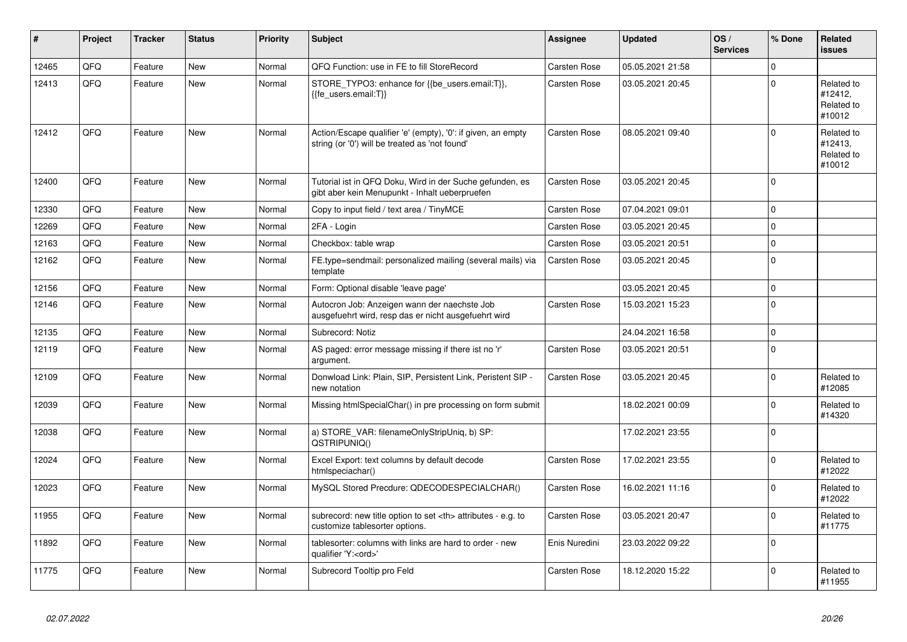| #     | Project | <b>Tracker</b> | <b>Status</b> | <b>Priority</b> | <b>Subject</b>                                                                                                 | <b>Assignee</b>                                        | <b>Updated</b>   | OS/<br><b>Services</b> | % Done       | Related<br><b>issues</b>                      |                      |
|-------|---------|----------------|---------------|-----------------|----------------------------------------------------------------------------------------------------------------|--------------------------------------------------------|------------------|------------------------|--------------|-----------------------------------------------|----------------------|
| 12465 | QFQ     | Feature        | <b>New</b>    | Normal          | QFQ Function: use in FE to fill StoreRecord                                                                    | Carsten Rose                                           | 05.05.2021 21:58 |                        | $\mathbf 0$  |                                               |                      |
| 12413 | QFQ     | Feature        | <b>New</b>    | Normal          | STORE TYPO3: enhance for {{be users.email:T}},<br>{{fe users.email:T}}                                         | Carsten Rose                                           | 03.05.2021 20:45 |                        | $\Omega$     | Related to<br>#12412,<br>Related to<br>#10012 |                      |
| 12412 | QFQ     | Feature        | <b>New</b>    | Normal          | Action/Escape qualifier 'e' (empty), '0': if given, an empty<br>string (or '0') will be treated as 'not found' | Carsten Rose                                           | 08.05.2021 09:40 |                        | $\mathbf{0}$ | Related to<br>#12413,<br>Related to<br>#10012 |                      |
| 12400 | QFQ     | Feature        | New           | Normal          | Tutorial ist in QFQ Doku, Wird in der Suche gefunden, es<br>gibt aber kein Menupunkt - Inhalt ueberpruefen     | Carsten Rose                                           | 03.05.2021 20:45 |                        | $\Omega$     |                                               |                      |
| 12330 | QFQ     | Feature        | <b>New</b>    | Normal          | Copy to input field / text area / TinyMCE                                                                      | Carsten Rose                                           | 07.04.2021 09:01 |                        | $\Omega$     |                                               |                      |
| 12269 | QFQ     | Feature        | New           | Normal          | 2FA - Login                                                                                                    | Carsten Rose                                           | 03.05.2021 20:45 |                        | $\mathbf 0$  |                                               |                      |
| 12163 | QFQ     | Feature        | <b>New</b>    | Normal          | Checkbox: table wrap                                                                                           | Carsten Rose                                           | 03.05.2021 20:51 |                        | $\mathbf 0$  |                                               |                      |
| 12162 | QFQ     | Feature        | New           | Normal          | FE.type=sendmail: personalized mailing (several mails) via<br>template                                         | Carsten Rose                                           | 03.05.2021 20:45 |                        | $\Omega$     |                                               |                      |
| 12156 | QFQ     | Feature        | <b>New</b>    | Normal          | Form: Optional disable 'leave page'                                                                            |                                                        | 03.05.2021 20:45 |                        | $\pmb{0}$    |                                               |                      |
| 12146 | QFQ     | Feature        | New           | Normal          | Autocron Job: Anzeigen wann der naechste Job<br>ausgefuehrt wird, resp das er nicht ausgefuehrt wird           | Carsten Rose                                           | 15.03.2021 15:23 |                        | $\Omega$     |                                               |                      |
| 12135 | QFQ     | Feature        | <b>New</b>    | Normal          | Subrecord: Notiz                                                                                               |                                                        | 24.04.2021 16:58 |                        | $\pmb{0}$    |                                               |                      |
| 12119 | QFQ     | Feature        | <b>New</b>    | Normal          | AS paged: error message missing if there ist no 'r'<br>argument.                                               | Carsten Rose                                           | 03.05.2021 20:51 |                        | $\Omega$     |                                               |                      |
| 12109 | QFQ     | Feature        | <b>New</b>    | Normal          | Donwload Link: Plain, SIP, Persistent Link, Peristent SIP -<br>new notation                                    | Carsten Rose                                           | 03.05.2021 20:45 |                        | $\Omega$     | Related to<br>#12085                          |                      |
| 12039 | QFQ     | Feature        | <b>New</b>    | Normal          | Missing htmlSpecialChar() in pre processing on form submit                                                     |                                                        | 18.02.2021 00:09 |                        | $\mathbf 0$  | Related to<br>#14320                          |                      |
| 12038 | QFQ     | Feature        | New           | Normal          | a) STORE VAR: filenameOnlyStripUniq, b) SP:<br>QSTRIPUNIQ()                                                    |                                                        | 17.02.2021 23:55 |                        | $\mathbf 0$  |                                               |                      |
| 12024 | QFQ     | Feature        | <b>New</b>    | Normal          | Excel Export: text columns by default decode<br>htmlspeciachar()                                               | Carsten Rose                                           | 17.02.2021 23:55 |                        | $\mathbf 0$  | Related to<br>#12022                          |                      |
| 12023 | QFQ     | Feature        | <b>New</b>    | Normal          | MySQL Stored Precdure: QDECODESPECIALCHAR()                                                                    | Carsten Rose                                           | 16.02.2021 11:16 |                        | $\Omega$     | Related to<br>#12022                          |                      |
| 11955 | QFQ     | Feature        | <b>New</b>    | Normal          | subrecord: new title option to set <th> attributes - e.g. to<br/>customize tablesorter options.</th>           | attributes - e.g. to<br>customize tablesorter options. | Carsten Rose     | 03.05.2021 20:47       |              | $\mathbf 0$                                   | Related to<br>#11775 |
| 11892 | QFQ     | Feature        | <b>New</b>    | Normal          | tablesorter: columns with links are hard to order - new<br>qualifier 'Y: <ord>'</ord>                          | Enis Nuredini                                          | 23.03.2022 09:22 |                        | $\mathbf 0$  |                                               |                      |
| 11775 | QFQ     | Feature        | New           | Normal          | Subrecord Tooltip pro Feld                                                                                     | Carsten Rose                                           | 18.12.2020 15:22 |                        | $\mathbf 0$  | Related to<br>#11955                          |                      |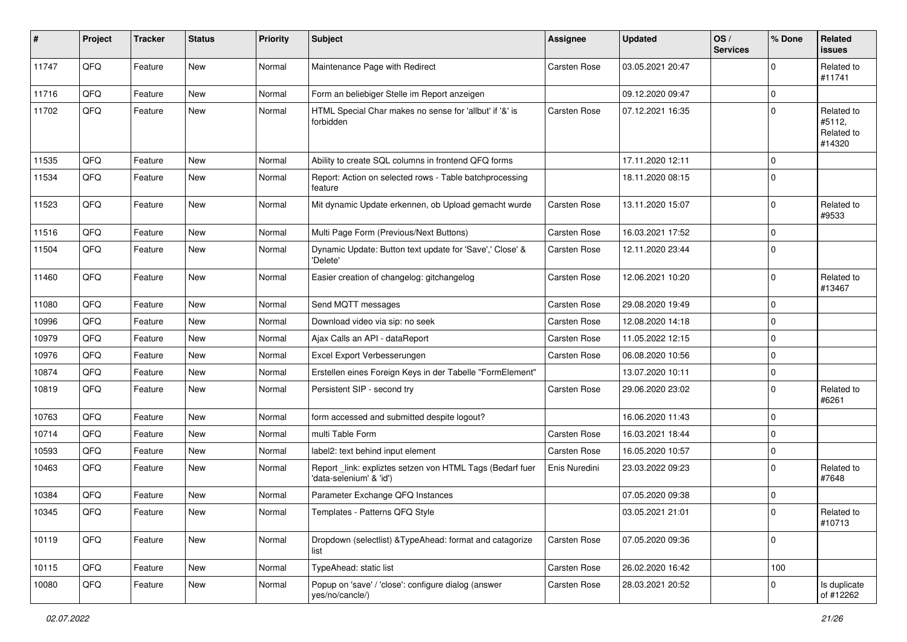| #     | Project | <b>Tracker</b> | <b>Status</b> | <b>Priority</b> | <b>Subject</b>                                                                      | <b>Assignee</b>     | <b>Updated</b>   | OS/<br><b>Services</b> | % Done      | Related<br><b>issues</b>                     |
|-------|---------|----------------|---------------|-----------------|-------------------------------------------------------------------------------------|---------------------|------------------|------------------------|-------------|----------------------------------------------|
| 11747 | QFQ     | Feature        | <b>New</b>    | Normal          | Maintenance Page with Redirect                                                      | <b>Carsten Rose</b> | 03.05.2021 20:47 |                        | $\mathbf 0$ | Related to<br>#11741                         |
| 11716 | QFQ     | Feature        | New           | Normal          | Form an beliebiger Stelle im Report anzeigen                                        |                     | 09.12.2020 09:47 |                        | $\Omega$    |                                              |
| 11702 | QFQ     | Feature        | New           | Normal          | HTML Special Char makes no sense for 'allbut' if '&' is<br>forbidden                | Carsten Rose        | 07.12.2021 16:35 |                        | $\Omega$    | Related to<br>#5112,<br>Related to<br>#14320 |
| 11535 | QFQ     | Feature        | New           | Normal          | Ability to create SQL columns in frontend QFQ forms                                 |                     | 17.11.2020 12:11 |                        | $\Omega$    |                                              |
| 11534 | QFQ     | Feature        | <b>New</b>    | Normal          | Report: Action on selected rows - Table batchprocessing<br>feature                  |                     | 18.11.2020 08:15 |                        | $\Omega$    |                                              |
| 11523 | QFQ     | Feature        | New           | Normal          | Mit dynamic Update erkennen, ob Upload gemacht wurde                                | Carsten Rose        | 13.11.2020 15:07 |                        | $\mathbf 0$ | Related to<br>#9533                          |
| 11516 | QFQ     | Feature        | <b>New</b>    | Normal          | Multi Page Form (Previous/Next Buttons)                                             | Carsten Rose        | 16.03.2021 17:52 |                        | $\Omega$    |                                              |
| 11504 | QFQ     | Feature        | New           | Normal          | Dynamic Update: Button text update for 'Save',' Close' &<br>'Delete'                | Carsten Rose        | 12.11.2020 23:44 |                        | $\Omega$    |                                              |
| 11460 | QFQ     | Feature        | <b>New</b>    | Normal          | Easier creation of changelog: gitchangelog                                          | Carsten Rose        | 12.06.2021 10:20 |                        | $\Omega$    | Related to<br>#13467                         |
| 11080 | QFQ     | Feature        | New           | Normal          | Send MQTT messages                                                                  | Carsten Rose        | 29.08.2020 19:49 |                        | $\mathbf 0$ |                                              |
| 10996 | QFQ     | Feature        | New           | Normal          | Download video via sip: no seek                                                     | Carsten Rose        | 12.08.2020 14:18 |                        | $\mathbf 0$ |                                              |
| 10979 | QFQ     | Feature        | <b>New</b>    | Normal          | Ajax Calls an API - dataReport                                                      | Carsten Rose        | 11.05.2022 12:15 |                        | $\Omega$    |                                              |
| 10976 | QFQ     | Feature        | New           | Normal          | Excel Export Verbesserungen                                                         | Carsten Rose        | 06.08.2020 10:56 |                        | $\mathbf 0$ |                                              |
| 10874 | QFQ     | Feature        | New           | Normal          | Erstellen eines Foreign Keys in der Tabelle "FormElement"                           |                     | 13.07.2020 10:11 |                        | $\Omega$    |                                              |
| 10819 | QFQ     | Feature        | New           | Normal          | Persistent SIP - second try                                                         | Carsten Rose        | 29.06.2020 23:02 |                        | $\Omega$    | Related to<br>#6261                          |
| 10763 | QFQ     | Feature        | <b>New</b>    | Normal          | form accessed and submitted despite logout?                                         |                     | 16.06.2020 11:43 |                        | $\Omega$    |                                              |
| 10714 | QFQ     | Feature        | New           | Normal          | multi Table Form                                                                    | Carsten Rose        | 16.03.2021 18:44 |                        | $\mathbf 0$ |                                              |
| 10593 | QFQ     | Feature        | New           | Normal          | label2: text behind input element                                                   | Carsten Rose        | 16.05.2020 10:57 |                        | $\mathbf 0$ |                                              |
| 10463 | QFQ     | Feature        | <b>New</b>    | Normal          | Report_link: expliztes setzen von HTML Tags (Bedarf fuer<br>'data-selenium' & 'id') | Enis Nuredini       | 23.03.2022 09:23 |                        | $\Omega$    | Related to<br>#7648                          |
| 10384 | QFQ     | Feature        | New           | Normal          | Parameter Exchange QFQ Instances                                                    |                     | 07.05.2020 09:38 |                        | $\mathbf 0$ |                                              |
| 10345 | QFQ     | Feature        | New           | Normal          | Templates - Patterns QFQ Style                                                      |                     | 03.05.2021 21:01 |                        | $\mathbf 0$ | Related to<br>#10713                         |
| 10119 | QFQ     | Feature        | New           | Normal          | Dropdown (selectlist) & TypeAhead: format and catagorize<br>list                    | Carsten Rose        | 07.05.2020 09:36 |                        | $\mathbf 0$ |                                              |
| 10115 | QFQ     | Feature        | New           | Normal          | TypeAhead: static list                                                              | Carsten Rose        | 26.02.2020 16:42 |                        | 100         |                                              |
| 10080 | QFQ     | Feature        | New           | Normal          | Popup on 'save' / 'close': configure dialog (answer<br>yes/no/cancle/)              | Carsten Rose        | 28.03.2021 20:52 |                        | 0           | Is duplicate<br>of #12262                    |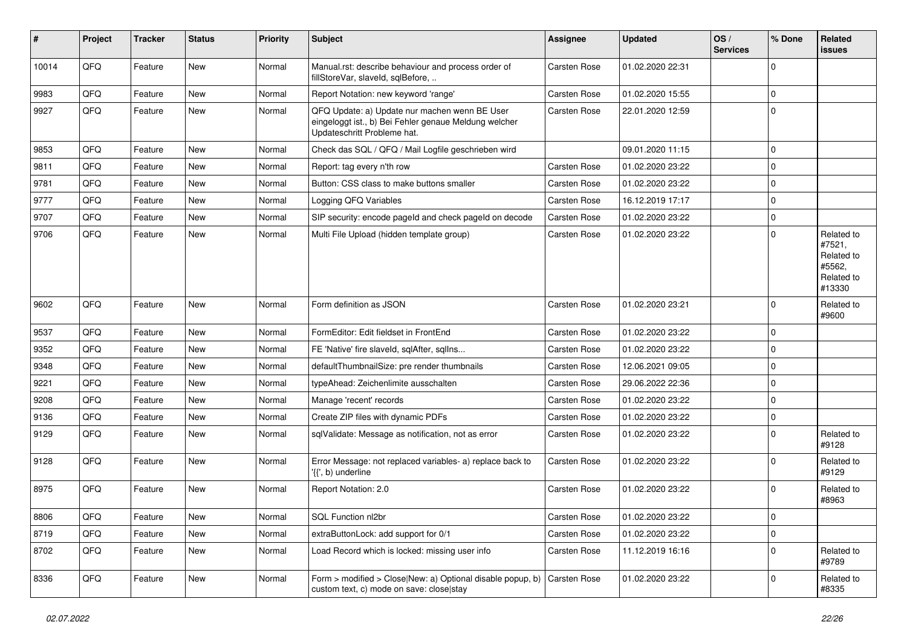| $\sharp$ | Project | <b>Tracker</b> | <b>Status</b> | <b>Priority</b> | <b>Subject</b>                                                                                                                        | <b>Assignee</b>     | <b>Updated</b>   | OS/<br><b>Services</b> | % Done      | <b>Related</b><br>issues                                             |
|----------|---------|----------------|---------------|-----------------|---------------------------------------------------------------------------------------------------------------------------------------|---------------------|------------------|------------------------|-------------|----------------------------------------------------------------------|
| 10014    | QFQ     | Feature        | New           | Normal          | Manual.rst: describe behaviour and process order of<br>fillStoreVar, slaveId, sqlBefore,                                              | Carsten Rose        | 01.02.2020 22:31 |                        | $\mathbf 0$ |                                                                      |
| 9983     | QFQ     | Feature        | New           | Normal          | Report Notation: new keyword 'range'                                                                                                  | <b>Carsten Rose</b> | 01.02.2020 15:55 |                        | $\mathbf 0$ |                                                                      |
| 9927     | QFQ     | Feature        | New           | Normal          | QFQ Update: a) Update nur machen wenn BE User<br>eingeloggt ist., b) Bei Fehler genaue Meldung welcher<br>Updateschritt Probleme hat. | Carsten Rose        | 22.01.2020 12:59 |                        | 0           |                                                                      |
| 9853     | QFQ     | Feature        | New           | Normal          | Check das SQL / QFQ / Mail Logfile geschrieben wird                                                                                   |                     | 09.01.2020 11:15 |                        | 0           |                                                                      |
| 9811     | QFQ     | Feature        | New           | Normal          | Report: tag every n'th row                                                                                                            | Carsten Rose        | 01.02.2020 23:22 |                        | 0           |                                                                      |
| 9781     | QFQ     | Feature        | New           | Normal          | Button: CSS class to make buttons smaller                                                                                             | <b>Carsten Rose</b> | 01.02.2020 23:22 |                        | 0           |                                                                      |
| 9777     | QFQ     | Feature        | New           | Normal          | Logging QFQ Variables                                                                                                                 | Carsten Rose        | 16.12.2019 17:17 |                        | $\mathbf 0$ |                                                                      |
| 9707     | QFQ     | Feature        | New           | Normal          | SIP security: encode pageld and check pageld on decode                                                                                | Carsten Rose        | 01.02.2020 23:22 |                        | 0           |                                                                      |
| 9706     | QFQ     | Feature        | New           | Normal          | Multi File Upload (hidden template group)                                                                                             | Carsten Rose        | 01.02.2020 23:22 |                        | $\Omega$    | Related to<br>#7521,<br>Related to<br>#5562,<br>Related to<br>#13330 |
| 9602     | QFQ     | Feature        | New           | Normal          | Form definition as JSON                                                                                                               | <b>Carsten Rose</b> | 01.02.2020 23:21 |                        | 0           | Related to<br>#9600                                                  |
| 9537     | QFQ     | Feature        | <b>New</b>    | Normal          | FormEditor: Edit fieldset in FrontEnd                                                                                                 | Carsten Rose        | 01.02.2020 23:22 |                        | $\mathbf 0$ |                                                                      |
| 9352     | QFQ     | Feature        | New           | Normal          | FE 'Native' fire slaveld, sqlAfter, sqlIns                                                                                            | <b>Carsten Rose</b> | 01.02.2020 23:22 |                        | 0           |                                                                      |
| 9348     | QFQ     | Feature        | New           | Normal          | defaultThumbnailSize: pre render thumbnails                                                                                           | <b>Carsten Rose</b> | 12.06.2021 09:05 |                        | $\mathbf 0$ |                                                                      |
| 9221     | QFQ     | Feature        | New           | Normal          | typeAhead: Zeichenlimite ausschalten                                                                                                  | <b>Carsten Rose</b> | 29.06.2022 22:36 |                        | 0           |                                                                      |
| 9208     | QFQ     | Feature        | New           | Normal          | Manage 'recent' records                                                                                                               | Carsten Rose        | 01.02.2020 23:22 |                        | $\mathbf 0$ |                                                                      |
| 9136     | QFQ     | Feature        | New           | Normal          | Create ZIP files with dynamic PDFs                                                                                                    | Carsten Rose        | 01.02.2020 23:22 |                        | $\mathbf 0$ |                                                                      |
| 9129     | QFQ     | Feature        | New           | Normal          | sqlValidate: Message as notification, not as error                                                                                    | Carsten Rose        | 01.02.2020 23:22 |                        | 0           | Related to<br>#9128                                                  |
| 9128     | QFQ     | Feature        | New           | Normal          | Error Message: not replaced variables- a) replace back to<br>'{{', b) underline                                                       | <b>Carsten Rose</b> | 01.02.2020 23:22 |                        | $\Omega$    | Related to<br>#9129                                                  |
| 8975     | QFQ     | Feature        | New           | Normal          | Report Notation: 2.0                                                                                                                  | Carsten Rose        | 01.02.2020 23:22 |                        | 0           | Related to<br>#8963                                                  |
| 8806     | QFQ     | Feature        | New           | Normal          | SQL Function nl2br                                                                                                                    | Carsten Rose        | 01.02.2020 23:22 |                        | 0           |                                                                      |
| 8719     | QFQ     | Feature        | New           | Normal          | extraButtonLock: add support for 0/1                                                                                                  | Carsten Rose        | 01.02.2020 23:22 |                        | $\pmb{0}$   |                                                                      |
| 8702     | QFQ     | Feature        | New           | Normal          | Load Record which is locked: missing user info                                                                                        | Carsten Rose        | 11.12.2019 16:16 |                        | 0           | Related to<br>#9789                                                  |
| 8336     | QFQ     | Feature        | New           | Normal          | Form > modified > Close New: a) Optional disable popup, b)<br>custom text, c) mode on save: close stay                                | Carsten Rose        | 01.02.2020 23:22 |                        | $\mathbf 0$ | Related to<br>#8335                                                  |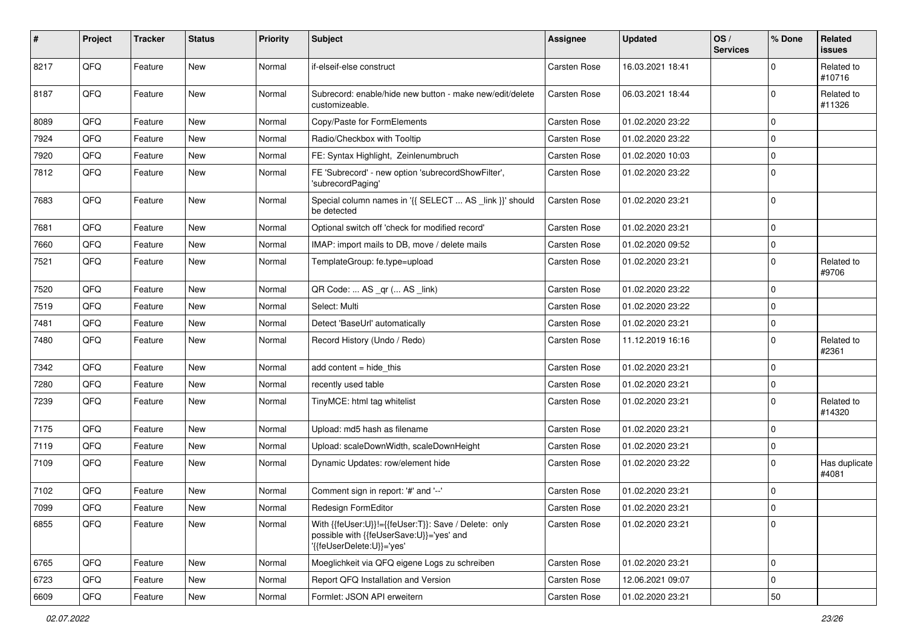| #    | Project | <b>Tracker</b> | <b>Status</b> | <b>Priority</b> | <b>Subject</b>                                                                                                                | Assignee            | <b>Updated</b>   | OS/<br><b>Services</b> | % Done      | Related<br>issues      |
|------|---------|----------------|---------------|-----------------|-------------------------------------------------------------------------------------------------------------------------------|---------------------|------------------|------------------------|-------------|------------------------|
| 8217 | QFQ     | Feature        | New           | Normal          | if-elseif-else construct                                                                                                      | Carsten Rose        | 16.03.2021 18:41 |                        | $\Omega$    | Related to<br>#10716   |
| 8187 | QFQ     | Feature        | New           | Normal          | Subrecord: enable/hide new button - make new/edit/delete<br>customizeable.                                                    | Carsten Rose        | 06.03.2021 18:44 |                        | $\Omega$    | Related to<br>#11326   |
| 8089 | QFQ     | Feature        | New           | Normal          | Copy/Paste for FormElements                                                                                                   | Carsten Rose        | 01.02.2020 23:22 |                        | $\Omega$    |                        |
| 7924 | QFQ     | Feature        | New           | Normal          | Radio/Checkbox with Tooltip                                                                                                   | Carsten Rose        | 01.02.2020 23:22 |                        | $\Omega$    |                        |
| 7920 | QFQ     | Feature        | New           | Normal          | FE: Syntax Highlight, Zeinlenumbruch                                                                                          | Carsten Rose        | 01.02.2020 10:03 |                        | 0           |                        |
| 7812 | QFQ     | Feature        | New           | Normal          | FE 'Subrecord' - new option 'subrecordShowFilter',<br>'subrecordPaging'                                                       | Carsten Rose        | 01.02.2020 23:22 |                        | $\Omega$    |                        |
| 7683 | QFQ     | Feature        | New           | Normal          | Special column names in '{{ SELECT  AS _link }}' should<br>be detected                                                        | Carsten Rose        | 01.02.2020 23:21 |                        | $\mathbf 0$ |                        |
| 7681 | QFQ     | Feature        | New           | Normal          | Optional switch off 'check for modified record'                                                                               | Carsten Rose        | 01.02.2020 23:21 |                        | $\mathbf 0$ |                        |
| 7660 | QFQ     | Feature        | New           | Normal          | IMAP: import mails to DB, move / delete mails                                                                                 | Carsten Rose        | 01.02.2020 09:52 |                        | $\mathbf 0$ |                        |
| 7521 | QFQ     | Feature        | New           | Normal          | TemplateGroup: fe.type=upload                                                                                                 | Carsten Rose        | 01.02.2020 23:21 |                        | $\Omega$    | Related to<br>#9706    |
| 7520 | QFQ     | Feature        | New           | Normal          | QR Code:  AS _qr ( AS _link)                                                                                                  | Carsten Rose        | 01.02.2020 23:22 |                        | $\Omega$    |                        |
| 7519 | QFQ     | Feature        | New           | Normal          | Select: Multi                                                                                                                 | <b>Carsten Rose</b> | 01.02.2020 23:22 |                        | $\Omega$    |                        |
| 7481 | QFQ     | Feature        | New           | Normal          | Detect 'BaseUrl' automatically                                                                                                | Carsten Rose        | 01.02.2020 23:21 |                        | 0           |                        |
| 7480 | QFQ     | Feature        | New           | Normal          | Record History (Undo / Redo)                                                                                                  | Carsten Rose        | 11.12.2019 16:16 |                        | $\Omega$    | Related to<br>#2361    |
| 7342 | QFQ     | Feature        | <b>New</b>    | Normal          | add content $=$ hide this                                                                                                     | Carsten Rose        | 01.02.2020 23:21 |                        | $\mathbf 0$ |                        |
| 7280 | QFQ     | Feature        | New           | Normal          | recently used table                                                                                                           | Carsten Rose        | 01.02.2020 23:21 |                        | $\mathbf 0$ |                        |
| 7239 | QFQ     | Feature        | New           | Normal          | TinyMCE: html tag whitelist                                                                                                   | Carsten Rose        | 01.02.2020 23:21 |                        | $\mathbf 0$ | Related to<br>#14320   |
| 7175 | QFQ     | Feature        | <b>New</b>    | Normal          | Upload: md5 hash as filename                                                                                                  | <b>Carsten Rose</b> | 01.02.2020 23:21 |                        | $\Omega$    |                        |
| 7119 | QFQ     | Feature        | New           | Normal          | Upload: scaleDownWidth, scaleDownHeight                                                                                       | Carsten Rose        | 01.02.2020 23:21 |                        | 0           |                        |
| 7109 | QFQ     | Feature        | New           | Normal          | Dynamic Updates: row/element hide                                                                                             | Carsten Rose        | 01.02.2020 23:22 |                        | $\Omega$    | Has duplicate<br>#4081 |
| 7102 | QFQ     | Feature        | New           | Normal          | Comment sign in report: '#' and '--'                                                                                          | Carsten Rose        | 01.02.2020 23:21 |                        | 0           |                        |
| 7099 | QFQ     | Feature        | New           | Normal          | <b>Redesign FormEditor</b>                                                                                                    | Carsten Rose        | 01.02.2020 23:21 |                        | $\mathbf 0$ |                        |
| 6855 | QFQ     | Feature        | New           | Normal          | With {{feUser:U}}!={{feUser:T}}: Save / Delete: only<br>possible with {{feUserSave:U}}='yes' and<br>'{{feUserDelete:U}}='yes' | Carsten Rose        | 01.02.2020 23:21 |                        | $\mathbf 0$ |                        |
| 6765 | QFQ     | Feature        | New           | Normal          | Moeglichkeit via QFQ eigene Logs zu schreiben                                                                                 | Carsten Rose        | 01.02.2020 23:21 |                        | 0           |                        |
| 6723 | QFQ     | Feature        | New           | Normal          | Report QFQ Installation and Version                                                                                           | Carsten Rose        | 12.06.2021 09:07 |                        | $\mathbf 0$ |                        |
| 6609 | QFG     | Feature        | New           | Normal          | Formlet: JSON API erweitern                                                                                                   | Carsten Rose        | 01.02.2020 23:21 |                        | 50          |                        |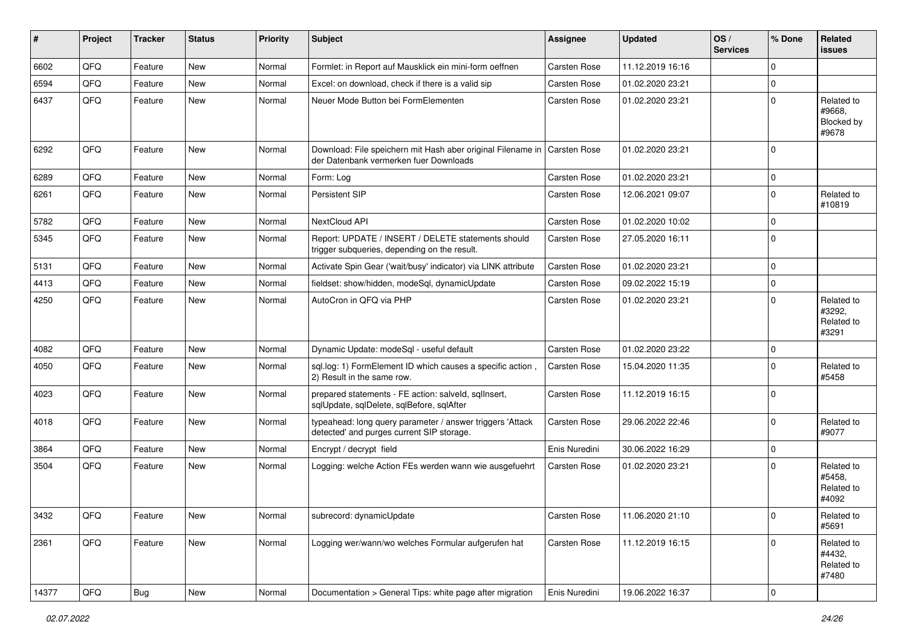| #     | Project | <b>Tracker</b> | <b>Status</b> | <b>Priority</b> | Subject                                                                                                              | <b>Assignee</b>     | <b>Updated</b>   | OS/<br><b>Services</b> | % Done       | <b>Related</b><br>issues                    |
|-------|---------|----------------|---------------|-----------------|----------------------------------------------------------------------------------------------------------------------|---------------------|------------------|------------------------|--------------|---------------------------------------------|
| 6602  | QFQ     | Feature        | New           | Normal          | Formlet: in Report auf Mausklick ein mini-form oeffnen                                                               | Carsten Rose        | 11.12.2019 16:16 |                        | 0            |                                             |
| 6594  | QFQ     | Feature        | New           | Normal          | Excel: on download, check if there is a valid sip                                                                    | <b>Carsten Rose</b> | 01.02.2020 23:21 |                        | $\mathbf 0$  |                                             |
| 6437  | QFQ     | Feature        | New           | Normal          | Neuer Mode Button bei FormElementen                                                                                  | Carsten Rose        | 01.02.2020 23:21 |                        | $\Omega$     | Related to<br>#9668,<br>Blocked by<br>#9678 |
| 6292  | QFQ     | Feature        | <b>New</b>    | Normal          | Download: File speichern mit Hash aber original Filename in   Carsten Rose<br>der Datenbank vermerken fuer Downloads |                     | 01.02.2020 23:21 |                        | $\Omega$     |                                             |
| 6289  | QFQ     | Feature        | <b>New</b>    | Normal          | Form: Log                                                                                                            | <b>Carsten Rose</b> | 01.02.2020 23:21 |                        | $\mathbf 0$  |                                             |
| 6261  | QFQ     | Feature        | New           | Normal          | Persistent SIP                                                                                                       | Carsten Rose        | 12.06.2021 09:07 |                        | 0            | Related to<br>#10819                        |
| 5782  | QFQ     | Feature        | New           | Normal          | NextCloud API                                                                                                        | Carsten Rose        | 01.02.2020 10:02 |                        | $\Omega$     |                                             |
| 5345  | QFQ     | Feature        | New           | Normal          | Report: UPDATE / INSERT / DELETE statements should<br>trigger subqueries, depending on the result.                   | Carsten Rose        | 27.05.2020 16:11 |                        | $\Omega$     |                                             |
| 5131  | QFQ     | Feature        | <b>New</b>    | Normal          | Activate Spin Gear ('wait/busy' indicator) via LINK attribute                                                        | <b>Carsten Rose</b> | 01.02.2020 23:21 |                        | 0            |                                             |
| 4413  | QFQ     | Feature        | New           | Normal          | fieldset: show/hidden, modeSql, dynamicUpdate                                                                        | Carsten Rose        | 09.02.2022 15:19 |                        | 0            |                                             |
| 4250  | QFQ     | Feature        | New           | Normal          | AutoCron in QFQ via PHP                                                                                              | Carsten Rose        | 01.02.2020 23:21 |                        | $\Omega$     | Related to<br>#3292,<br>Related to<br>#3291 |
| 4082  | QFQ     | Feature        | New           | Normal          | Dynamic Update: modeSql - useful default                                                                             | Carsten Rose        | 01.02.2020 23:22 |                        | 0            |                                             |
| 4050  | QFQ     | Feature        | New           | Normal          | sql.log: 1) FormElement ID which causes a specific action,<br>2) Result in the same row.                             | Carsten Rose        | 15.04.2020 11:35 |                        | $\Omega$     | Related to<br>#5458                         |
| 4023  | QFQ     | Feature        | New           | Normal          | prepared statements - FE action: salveld, sqllnsert,<br>sqlUpdate, sqlDelete, sqlBefore, sqlAfter                    | Carsten Rose        | 11.12.2019 16:15 |                        | $\Omega$     |                                             |
| 4018  | QFQ     | Feature        | <b>New</b>    | Normal          | typeahead: long query parameter / answer triggers 'Attack<br>detected' and purges current SIP storage.               | <b>Carsten Rose</b> | 29.06.2022 22:46 |                        | $\Omega$     | Related to<br>#9077                         |
| 3864  | QFQ     | Feature        | New           | Normal          | Encrypt / decrypt field                                                                                              | Enis Nuredini       | 30.06.2022 16:29 |                        | $\mathbf 0$  |                                             |
| 3504  | QFQ     | Feature        | New           | Normal          | Logging: welche Action FEs werden wann wie ausgefuehrt                                                               | <b>Carsten Rose</b> | 01.02.2020 23:21 |                        | $\Omega$     | Related to<br>#5458,<br>Related to<br>#4092 |
| 3432  | QFG     | Feature        | New           | Normal          | subrecord: dynamicUpdate                                                                                             | Carsten Rose        | 11.06.2020 21:10 |                        | $\mathbf{0}$ | Related to<br>#5691                         |
| 2361  | QFQ     | Feature        | New           | Normal          | Logging wer/wann/wo welches Formular aufgerufen hat                                                                  | Carsten Rose        | 11.12.2019 16:15 |                        | 0            | Related to<br>#4432,<br>Related to<br>#7480 |
| 14377 | QFG     | <b>Bug</b>     | New           | Normal          | Documentation > General Tips: white page after migration                                                             | Enis Nuredini       | 19.06.2022 16:37 |                        | $\pmb{0}$    |                                             |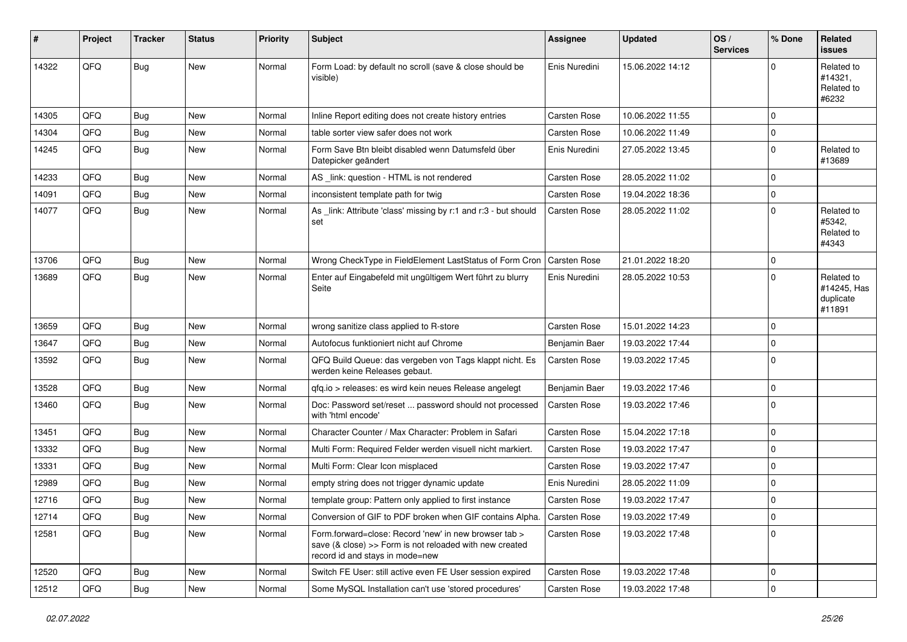| #     | Project | <b>Tracker</b> | <b>Status</b> | <b>Priority</b> | <b>Subject</b>                                                                                                                                      | <b>Assignee</b>     | <b>Updated</b>   | OS/<br><b>Services</b> | % Done      | <b>Related</b><br><b>issues</b>                  |
|-------|---------|----------------|---------------|-----------------|-----------------------------------------------------------------------------------------------------------------------------------------------------|---------------------|------------------|------------------------|-------------|--------------------------------------------------|
| 14322 | QFQ     | <b>Bug</b>     | New           | Normal          | Form Load: by default no scroll (save & close should be<br>visible)                                                                                 | Enis Nuredini       | 15.06.2022 14:12 |                        | $\Omega$    | Related to<br>#14321,<br>Related to<br>#6232     |
| 14305 | QFQ     | Bug            | <b>New</b>    | Normal          | Inline Report editing does not create history entries                                                                                               | Carsten Rose        | 10.06.2022 11:55 |                        | $\mathbf 0$ |                                                  |
| 14304 | QFQ     | <b>Bug</b>     | <b>New</b>    | Normal          | table sorter view safer does not work                                                                                                               | Carsten Rose        | 10.06.2022 11:49 |                        | $\pmb{0}$   |                                                  |
| 14245 | QFQ     | <b>Bug</b>     | New           | Normal          | Form Save Btn bleibt disabled wenn Datumsfeld über<br>Datepicker geändert                                                                           | Enis Nuredini       | 27.05.2022 13:45 |                        | $\mathbf 0$ | Related to<br>#13689                             |
| 14233 | QFQ     | <b>Bug</b>     | <b>New</b>    | Normal          | AS _link: question - HTML is not rendered                                                                                                           | Carsten Rose        | 28.05.2022 11:02 |                        | $\mathbf 0$ |                                                  |
| 14091 | QFQ     | Bug            | <b>New</b>    | Normal          | inconsistent template path for twig                                                                                                                 | <b>Carsten Rose</b> | 19.04.2022 18:36 |                        | $\mathbf 0$ |                                                  |
| 14077 | QFQ     | Bug            | <b>New</b>    | Normal          | As _link: Attribute 'class' missing by r:1 and r:3 - but should<br>set                                                                              | Carsten Rose        | 28.05.2022 11:02 |                        | $\mathbf 0$ | Related to<br>#5342.<br>Related to<br>#4343      |
| 13706 | QFQ     | Bug            | <b>New</b>    | Normal          | Wrong CheckType in FieldElement LastStatus of Form Cron                                                                                             | Carsten Rose        | 21.01.2022 18:20 |                        | $\mathbf 0$ |                                                  |
| 13689 | QFQ     | <b>Bug</b>     | <b>New</b>    | Normal          | Enter auf Eingabefeld mit ungültigem Wert führt zu blurry<br>Seite                                                                                  | Enis Nuredini       | 28.05.2022 10:53 |                        | $\mathbf 0$ | Related to<br>#14245, Has<br>duplicate<br>#11891 |
| 13659 | QFQ     | <b>Bug</b>     | <b>New</b>    | Normal          | wrong sanitize class applied to R-store                                                                                                             | <b>Carsten Rose</b> | 15.01.2022 14:23 |                        | $\mathbf 0$ |                                                  |
| 13647 | QFQ     | Bug            | <b>New</b>    | Normal          | Autofocus funktioniert nicht auf Chrome                                                                                                             | Benjamin Baer       | 19.03.2022 17:44 |                        | $\pmb{0}$   |                                                  |
| 13592 | QFQ     | <b>Bug</b>     | New           | Normal          | QFQ Build Queue: das vergeben von Tags klappt nicht. Es<br>werden keine Releases gebaut.                                                            | Carsten Rose        | 19.03.2022 17:45 |                        | $\mathbf 0$ |                                                  |
| 13528 | QFQ     | Bug            | <b>New</b>    | Normal          | qfq.io > releases: es wird kein neues Release angelegt                                                                                              | Benjamin Baer       | 19.03.2022 17:46 |                        | $\mathbf 0$ |                                                  |
| 13460 | QFQ     | Bug            | <b>New</b>    | Normal          | Doc: Password set/reset  password should not processed<br>with 'html encode'                                                                        | Carsten Rose        | 19.03.2022 17:46 |                        | $\mathbf 0$ |                                                  |
| 13451 | QFQ     | Bug            | New           | Normal          | Character Counter / Max Character: Problem in Safari                                                                                                | <b>Carsten Rose</b> | 15.04.2022 17:18 |                        | $\pmb{0}$   |                                                  |
| 13332 | QFQ     | Bug            | <b>New</b>    | Normal          | Multi Form: Required Felder werden visuell nicht markiert.                                                                                          | <b>Carsten Rose</b> | 19.03.2022 17:47 |                        | $\pmb{0}$   |                                                  |
| 13331 | QFQ     | Bug            | <b>New</b>    | Normal          | Multi Form: Clear Icon misplaced                                                                                                                    | <b>Carsten Rose</b> | 19.03.2022 17:47 |                        | $\mathbf 0$ |                                                  |
| 12989 | QFQ     | <b>Bug</b>     | New           | Normal          | empty string does not trigger dynamic update                                                                                                        | Enis Nuredini       | 28.05.2022 11:09 |                        | $\mathbf 0$ |                                                  |
| 12716 | QFQ     | Bug            | New           | Normal          | template group: Pattern only applied to first instance                                                                                              | Carsten Rose        | 19.03.2022 17:47 |                        | $\pmb{0}$   |                                                  |
| 12714 | QFQ     | <b>Bug</b>     | New           | Normal          | Conversion of GIF to PDF broken when GIF contains Alpha.   Carsten Rose                                                                             |                     | 19.03.2022 17:49 |                        | 0           |                                                  |
| 12581 | QFQ     | <b>Bug</b>     | New           | Normal          | Form forward=close: Record 'new' in new browser tab ><br>save (& close) >> Form is not reloaded with new created<br>record id and stays in mode=new | Carsten Rose        | 19.03.2022 17:48 |                        | $\mathbf 0$ |                                                  |
| 12520 | QFQ     | Bug            | New           | Normal          | Switch FE User: still active even FE User session expired                                                                                           | Carsten Rose        | 19.03.2022 17:48 |                        | $\mathsf 0$ |                                                  |
| 12512 | QFQ     | Bug            | New           | Normal          | Some MySQL Installation can't use 'stored procedures'                                                                                               | Carsten Rose        | 19.03.2022 17:48 |                        | $\mathsf 0$ |                                                  |